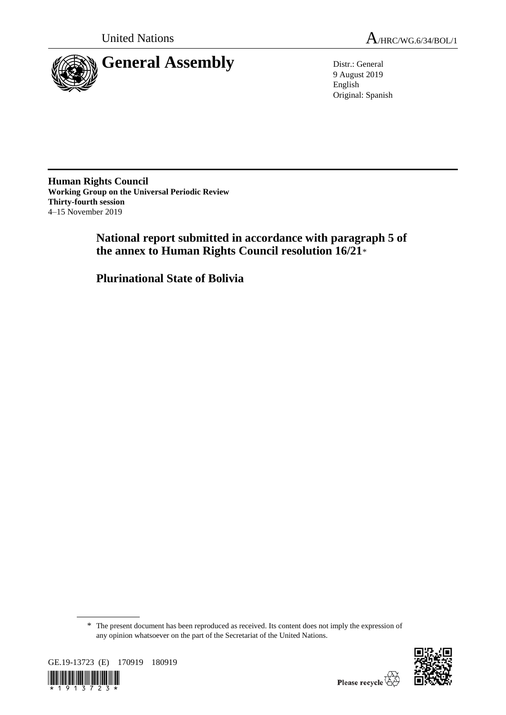

9 August 2019 English Original: Spanish

**Human Rights Council Working Group on the Universal Periodic Review Thirty-fourth session** 4–15 November 2019

> **National report submitted in accordance with paragraph 5 of the annex to Human Rights Council resolution 16/21**\*

**Plurinational State of Bolivia**

<sup>\*</sup> The present document has been reproduced as received. Its content does not imply the expression of any opinion whatsoever on the part of the Secretariat of the United Nations.



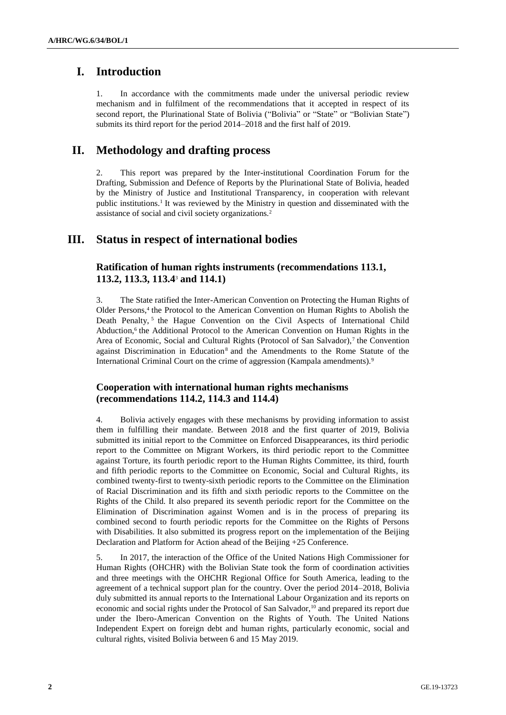# **I. Introduction**

1. In accordance with the commitments made under the universal periodic review mechanism and in fulfilment of the recommendations that it accepted in respect of its second report, the Plurinational State of Bolivia ("Bolivia" or "State" or "Bolivian State") submits its third report for the period 2014–2018 and the first half of 2019.

# **II. Methodology and drafting process**

2. This report was prepared by the Inter-institutional Coordination Forum for the Drafting, Submission and Defence of Reports by the Plurinational State of Bolivia, headed by the Ministry of Justice and Institutional Transparency, in cooperation with relevant public institutions.<sup>1</sup> It was reviewed by the Ministry in question and disseminated with the assistance of social and civil society organizations.<sup>2</sup>

# **III. Status in respect of international bodies**

### **Ratification of human rights instruments (recommendations 113.1, 113.2, 113.3, 113.4**<sup>3</sup> **and 114.1)**

3. The State ratified the Inter-American Convention on Protecting the Human Rights of Older Persons,<sup>4</sup> the Protocol to the American Convention on Human Rights to Abolish the Death Penalty,<sup>5</sup> the Hague Convention on the Civil Aspects of International Child Abduction,<sup>6</sup> the Additional Protocol to the American Convention on Human Rights in the Area of Economic, Social and Cultural Rights (Protocol of San Salvador),<sup>7</sup> the Convention against Discrimination in Education<sup>8</sup> and the Amendments to the Rome Statute of the International Criminal Court on the crime of aggression (Kampala amendments).<sup>9</sup>

### **Cooperation with international human rights mechanisms (recommendations 114.2, 114.3 and 114.4)**

4. Bolivia actively engages with these mechanisms by providing information to assist them in fulfilling their mandate. Between 2018 and the first quarter of 2019, Bolivia submitted its initial report to the Committee on Enforced Disappearances, its third periodic report to the Committee on Migrant Workers, its third periodic report to the Committee against Torture, its fourth periodic report to the Human Rights Committee, its third, fourth and fifth periodic reports to the Committee on Economic, Social and Cultural Rights, its combined twenty-first to twenty-sixth periodic reports to the Committee on the Elimination of Racial Discrimination and its fifth and sixth periodic reports to the Committee on the Rights of the Child. It also prepared its seventh periodic report for the Committee on the Elimination of Discrimination against Women and is in the process of preparing its combined second to fourth periodic reports for the Committee on the Rights of Persons with Disabilities. It also submitted its progress report on the implementation of the Beijing Declaration and Platform for Action ahead of the Beijing +25 Conference.

5. In 2017, the interaction of the Office of the United Nations High Commissioner for Human Rights (OHCHR) with the Bolivian State took the form of coordination activities and three meetings with the OHCHR Regional Office for South America, leading to the agreement of a technical support plan for the country. Over the period 2014–2018, Bolivia duly submitted its annual reports to the International Labour Organization and its reports on economic and social rights under the Protocol of San Salvador,<sup>10</sup> and prepared its report due under the Ibero-American Convention on the Rights of Youth. The United Nations Independent Expert on foreign debt and human rights, particularly economic, social and cultural rights, visited Bolivia between 6 and 15 May 2019.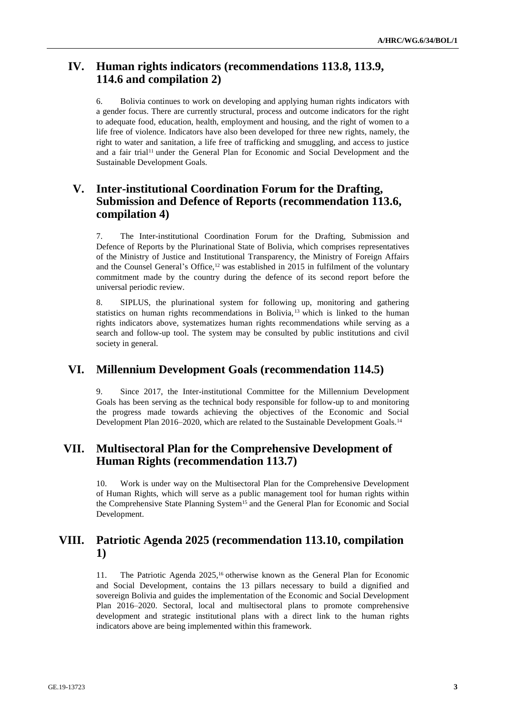# **IV. Human rights indicators (recommendations 113.8, 113.9, 114.6 and compilation 2)**

6. Bolivia continues to work on developing and applying human rights indicators with a gender focus. There are currently structural, process and outcome indicators for the right to adequate food, education, health, employment and housing, and the right of women to a life free of violence. Indicators have also been developed for three new rights, namely, the right to water and sanitation, a life free of trafficking and smuggling, and access to justice and a fair trial<sup>11</sup> under the General Plan for Economic and Social Development and the Sustainable Development Goals.

# **V. Inter-institutional Coordination Forum for the Drafting, Submission and Defence of Reports (recommendation 113.6, compilation 4)**

7. The Inter-institutional Coordination Forum for the Drafting, Submission and Defence of Reports by the Plurinational State of Bolivia, which comprises representatives of the Ministry of Justice and Institutional Transparency, the Ministry of Foreign Affairs and the Counsel General's Office,<sup>12</sup> was established in 2015 in fulfilment of the voluntary commitment made by the country during the defence of its second report before the universal periodic review.

8. SIPLUS, the plurinational system for following up, monitoring and gathering statistics on human rights recommendations in Bolivia, <sup>13</sup> which is linked to the human rights indicators above, systematizes human rights recommendations while serving as a search and follow-up tool. The system may be consulted by public institutions and civil society in general.

# **VI. Millennium Development Goals (recommendation 114.5)**

9. Since 2017, the Inter-institutional Committee for the Millennium Development Goals has been serving as the technical body responsible for follow-up to and monitoring the progress made towards achieving the objectives of the Economic and Social Development Plan 2016–2020, which are related to the Sustainable Development Goals.<sup>14</sup>

# **VII. Multisectoral Plan for the Comprehensive Development of Human Rights (recommendation 113.7)**

10. Work is under way on the Multisectoral Plan for the Comprehensive Development of Human Rights, which will serve as a public management tool for human rights within the Comprehensive State Planning System<sup>15</sup> and the General Plan for Economic and Social Development.

# **VIII. Patriotic Agenda 2025 (recommendation 113.10, compilation 1)**

11. The Patriotic Agenda 2025,<sup>16</sup> otherwise known as the General Plan for Economic and Social Development, contains the 13 pillars necessary to build a dignified and sovereign Bolivia and guides the implementation of the Economic and Social Development Plan 2016–2020. Sectoral, local and multisectoral plans to promote comprehensive development and strategic institutional plans with a direct link to the human rights indicators above are being implemented within this framework.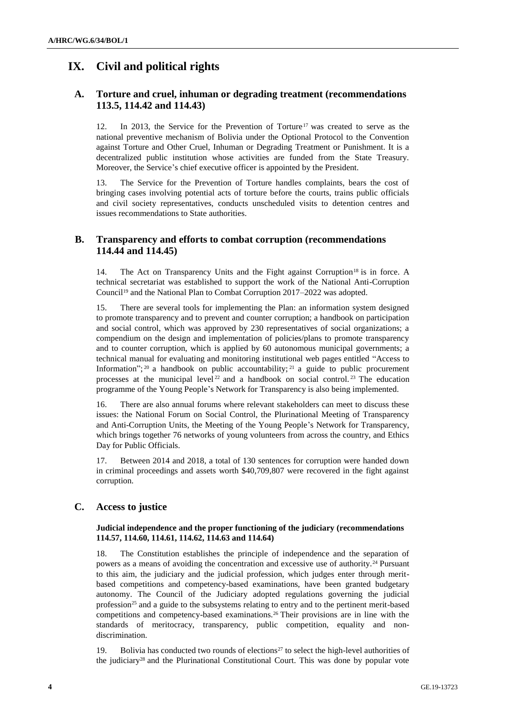# **IX. Civil and political rights**

## **A. Torture and cruel, inhuman or degrading treatment (recommendations 113.5, 114.42 and 114.43)**

12. In 2013, the Service for the Prevention of Torture<sup>17</sup> was created to serve as the national preventive mechanism of Bolivia under the Optional Protocol to the Convention against Torture and Other Cruel, Inhuman or Degrading Treatment or Punishment. It is a decentralized public institution whose activities are funded from the State Treasury. Moreover, the Service's chief executive officer is appointed by the President.

13. The Service for the Prevention of Torture handles complaints, bears the cost of bringing cases involving potential acts of torture before the courts, trains public officials and civil society representatives, conducts unscheduled visits to detention centres and issues recommendations to State authorities.

### **B. Transparency and efforts to combat corruption (recommendations 114.44 and 114.45)**

14. The Act on Transparency Units and the Fight against Corruption<sup>18</sup> is in force. A technical secretariat was established to support the work of the National Anti-Corruption Council<sup>19</sup> and the National Plan to Combat Corruption 2017–2022 was adopted.

15. There are several tools for implementing the Plan: an information system designed to promote transparency and to prevent and counter corruption; a handbook on participation and social control, which was approved by 230 representatives of social organizations; a compendium on the design and implementation of policies/plans to promote transparency and to counter corruption, which is applied by 60 autonomous municipal governments; a technical manual for evaluating and monitoring institutional web pages entitled "Access to Information";  $20$  a handbook on public accountability;  $21$  a guide to public procurement processes at the municipal level  $22$  and a handbook on social control.  $23$  The education programme of the Young People's Network for Transparency is also being implemented.

16. There are also annual forums where relevant stakeholders can meet to discuss these issues: the National Forum on Social Control, the Plurinational Meeting of Transparency and Anti-Corruption Units, the Meeting of the Young People's Network for Transparency, which brings together 76 networks of young volunteers from across the country, and Ethics Day for Public Officials.

17. Between 2014 and 2018, a total of 130 sentences for corruption were handed down in criminal proceedings and assets worth \$40,709,807 were recovered in the fight against corruption.

### **C. Access to justice**

### **Judicial independence and the proper functioning of the judiciary (recommendations 114.57, 114.60, 114.61, 114.62, 114.63 and 114.64)**

18. The Constitution establishes the principle of independence and the separation of powers as a means of avoiding the concentration and excessive use of authority.<sup>24</sup> Pursuant to this aim, the judiciary and the judicial profession, which judges enter through meritbased competitions and competency-based examinations, have been granted budgetary autonomy. The Council of the Judiciary adopted regulations governing the judicial profession<sup>25</sup> and a guide to the subsystems relating to entry and to the pertinent merit-based competitions and competency-based examinations.<sup>26</sup> Their provisions are in line with the standards of meritocracy, transparency, public competition, equality and nondiscrimination.

19. Bolivia has conducted two rounds of elections<sup>27</sup> to select the high-level authorities of the judiciary<sup>28</sup> and the Plurinational Constitutional Court. This was done by popular vote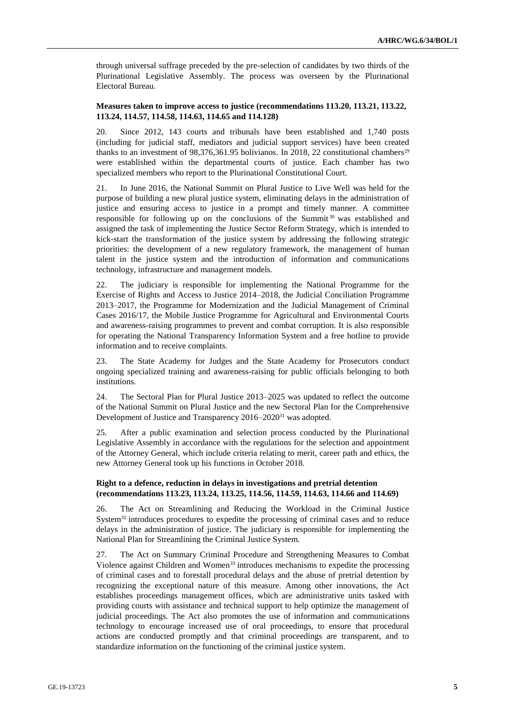through universal suffrage preceded by the pre-selection of candidates by two thirds of the Plurinational Legislative Assembly. The process was overseen by the Plurinational Electoral Bureau.

#### **Measures taken to improve access to justice (recommendations 113.20, 113.21, 113.22, 113.24, 114.57, 114.58, 114.63, 114.65 and 114.128)**

20. Since 2012, 143 courts and tribunals have been established and 1,740 posts (including for judicial staff, mediators and judicial support services) have been created thanks to an investment of 98,376,361.95 bolivianos. In 2018, 22 constitutional chambers<sup>29</sup> were established within the departmental courts of justice. Each chamber has two specialized members who report to the Plurinational Constitutional Court.

21. In June 2016, the National Summit on Plural Justice to Live Well was held for the purpose of building a new plural justice system, eliminating delays in the administration of justice and ensuring access to justice in a prompt and timely manner. A committee responsible for following up on the conclusions of the Summit<sup>30</sup> was established and assigned the task of implementing the Justice Sector Reform Strategy, which is intended to kick-start the transformation of the justice system by addressing the following strategic priorities: the development of a new regulatory framework, the management of human talent in the justice system and the introduction of information and communications technology, infrastructure and management models.

22. The judiciary is responsible for implementing the National Programme for the Exercise of Rights and Access to Justice 2014–2018, the Judicial Conciliation Programme 2013–2017, the Programme for Modernization and the Judicial Management of Criminal Cases 2016/17, the Mobile Justice Programme for Agricultural and Environmental Courts and awareness-raising programmes to prevent and combat corruption. It is also responsible for operating the National Transparency Information System and a free hotline to provide information and to receive complaints.

23. The State Academy for Judges and the State Academy for Prosecutors conduct ongoing specialized training and awareness-raising for public officials belonging to both institutions.

24. The Sectoral Plan for Plural Justice 2013–2025 was updated to reflect the outcome of the National Summit on Plural Justice and the new Sectoral Plan for the Comprehensive Development of Justice and Transparency 2016–2020<sup>31</sup> was adopted.

25. After a public examination and selection process conducted by the Plurinational Legislative Assembly in accordance with the regulations for the selection and appointment of the Attorney General, which include criteria relating to merit, career path and ethics, the new Attorney General took up his functions in October 2018.

#### **Right to a defence, reduction in delays in investigations and pretrial detention (recommendations 113.23, 113.24, 113.25, 114.56, 114.59, 114.63, 114.66 and 114.69)**

26. The Act on Streamlining and Reducing the Workload in the Criminal Justice System<sup>32</sup> introduces procedures to expedite the processing of criminal cases and to reduce delays in the administration of justice. The judiciary is responsible for implementing the National Plan for Streamlining the Criminal Justice System.

27. The Act on Summary Criminal Procedure and Strengthening Measures to Combat Violence against Children and Women<sup>33</sup> introduces mechanisms to expedite the processing of criminal cases and to forestall procedural delays and the abuse of pretrial detention by recognizing the exceptional nature of this measure. Among other innovations, the Act establishes proceedings management offices, which are administrative units tasked with providing courts with assistance and technical support to help optimize the management of judicial proceedings. The Act also promotes the use of information and communications technology to encourage increased use of oral proceedings, to ensure that procedural actions are conducted promptly and that criminal proceedings are transparent, and to standardize information on the functioning of the criminal justice system.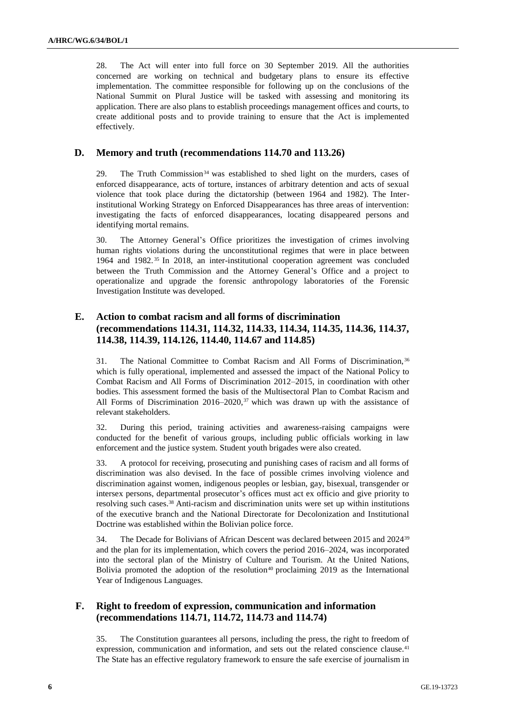28. The Act will enter into full force on 30 September 2019. All the authorities concerned are working on technical and budgetary plans to ensure its effective implementation. The committee responsible for following up on the conclusions of the National Summit on Plural Justice will be tasked with assessing and monitoring its application. There are also plans to establish proceedings management offices and courts, to create additional posts and to provide training to ensure that the Act is implemented effectively.

### **D. Memory and truth (recommendations 114.70 and 113.26)**

29. The Truth Commission<sup>34</sup> was established to shed light on the murders, cases of enforced disappearance, acts of torture, instances of arbitrary detention and acts of sexual violence that took place during the dictatorship (between 1964 and 1982). The Interinstitutional Working Strategy on Enforced Disappearances has three areas of intervention: investigating the facts of enforced disappearances, locating disappeared persons and identifying mortal remains.

30. The Attorney General's Office prioritizes the investigation of crimes involving human rights violations during the unconstitutional regimes that were in place between 1964 and 1982. <sup>35</sup> In 2018, an inter-institutional cooperation agreement was concluded between the Truth Commission and the Attorney General's Office and a project to operationalize and upgrade the forensic anthropology laboratories of the Forensic Investigation Institute was developed.

### **E. Action to combat racism and all forms of discrimination (recommendations 114.31, 114.32, 114.33, 114.34, 114.35, 114.36, 114.37, 114.38, 114.39, 114.126, 114.40, 114.67 and 114.85)**

31. The National Committee to Combat Racism and All Forms of Discrimination, <sup>36</sup> which is fully operational, implemented and assessed the impact of the National Policy to Combat Racism and All Forms of Discrimination 2012–2015, in coordination with other bodies. This assessment formed the basis of the Multisectoral Plan to Combat Racism and All Forms of Discrimination  $2016-2020$ ,<sup>37</sup> which was drawn up with the assistance of relevant stakeholders.

32. During this period, training activities and awareness-raising campaigns were conducted for the benefit of various groups, including public officials working in law enforcement and the justice system. Student youth brigades were also created.

33. A protocol for receiving, prosecuting and punishing cases of racism and all forms of discrimination was also devised. In the face of possible crimes involving violence and discrimination against women, indigenous peoples or lesbian, gay, bisexual, transgender or intersex persons, departmental prosecutor's offices must act ex officio and give priority to resolving such cases.<sup>38</sup> Anti-racism and discrimination units were set up within institutions of the executive branch and the National Directorate for Decolonization and Institutional Doctrine was established within the Bolivian police force.

34. The Decade for Bolivians of African Descent was declared between 2015 and 2024<sup>39</sup> and the plan for its implementation, which covers the period 2016–2024, was incorporated into the sectoral plan of the Ministry of Culture and Tourism. At the United Nations, Bolivia promoted the adoption of the resolution<sup>40</sup> proclaiming 2019 as the International Year of Indigenous Languages.

### **F. Right to freedom of expression, communication and information (recommendations 114.71, 114.72, 114.73 and 114.74)**

35. The Constitution guarantees all persons, including the press, the right to freedom of expression, communication and information, and sets out the related conscience clause.<sup>41</sup> The State has an effective regulatory framework to ensure the safe exercise of journalism in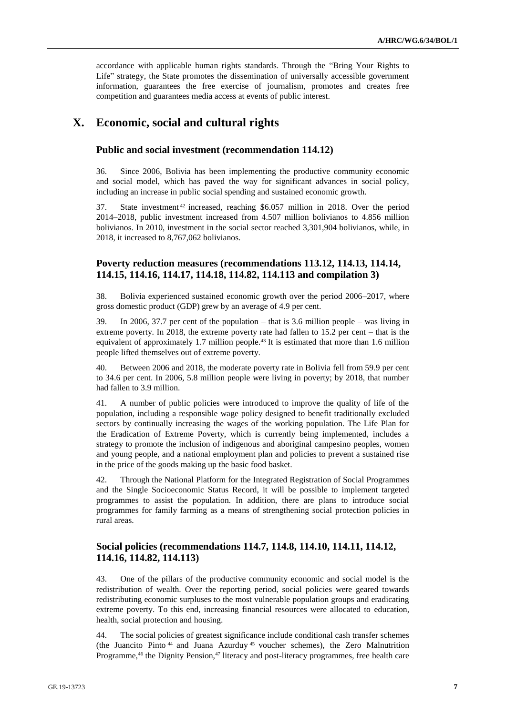accordance with applicable human rights standards. Through the "Bring Your Rights to Life" strategy, the State promotes the dissemination of universally accessible government information, guarantees the free exercise of journalism, promotes and creates free competition and guarantees media access at events of public interest.

# **X. Economic, social and cultural rights**

#### **Public and social investment (recommendation 114.12)**

36. Since 2006, Bolivia has been implementing the productive community economic and social model, which has paved the way for significant advances in social policy, including an increase in public social spending and sustained economic growth.

37. State investment <sup>42</sup> increased, reaching \$6.057 million in 2018. Over the period 2014–2018, public investment increased from 4.507 million bolivianos to 4.856 million bolivianos. In 2010, investment in the social sector reached 3,301,904 bolivianos, while, in 2018, it increased to 8,767,062 bolivianos.

### **Poverty reduction measures (recommendations 113.12, 114.13, 114.14, 114.15, 114.16, 114.17, 114.18, 114.82, 114.113 and compilation 3)**

38. Bolivia experienced sustained economic growth over the period 2006–2017, where gross domestic product (GDP) grew by an average of 4.9 per cent.

39. In 2006, 37.7 per cent of the population – that is 3.6 million people – was living in extreme poverty. In 2018, the extreme poverty rate had fallen to 15.2 per cent – that is the equivalent of approximately 1.7 million people.<sup>43</sup> It is estimated that more than 1.6 million people lifted themselves out of extreme poverty.

40. Between 2006 and 2018, the moderate poverty rate in Bolivia fell from 59.9 per cent to 34.6 per cent. In 2006, 5.8 million people were living in poverty; by 2018, that number had fallen to 3.9 million.

41. A number of public policies were introduced to improve the quality of life of the population, including a responsible wage policy designed to benefit traditionally excluded sectors by continually increasing the wages of the working population. The Life Plan for the Eradication of Extreme Poverty, which is currently being implemented, includes a strategy to promote the inclusion of indigenous and aboriginal campesino peoples, women and young people, and a national employment plan and policies to prevent a sustained rise in the price of the goods making up the basic food basket.

42. Through the National Platform for the Integrated Registration of Social Programmes and the Single Socioeconomic Status Record, it will be possible to implement targeted programmes to assist the population. In addition, there are plans to introduce social programmes for family farming as a means of strengthening social protection policies in rural areas.

### **Social policies (recommendations 114.7, 114.8, 114.10, 114.11, 114.12, 114.16, 114.82, 114.113)**

43. One of the pillars of the productive community economic and social model is the redistribution of wealth. Over the reporting period, social policies were geared towards redistributing economic surpluses to the most vulnerable population groups and eradicating extreme poverty. To this end, increasing financial resources were allocated to education, health, social protection and housing.

44. The social policies of greatest significance include conditional cash transfer schemes (the Juancito Pinto <sup>44</sup> and Juana Azurduy <sup>45</sup> voucher schemes), the Zero Malnutrition Programme,<sup>46</sup> the Dignity Pension,<sup>47</sup> literacy and post-literacy programmes, free health care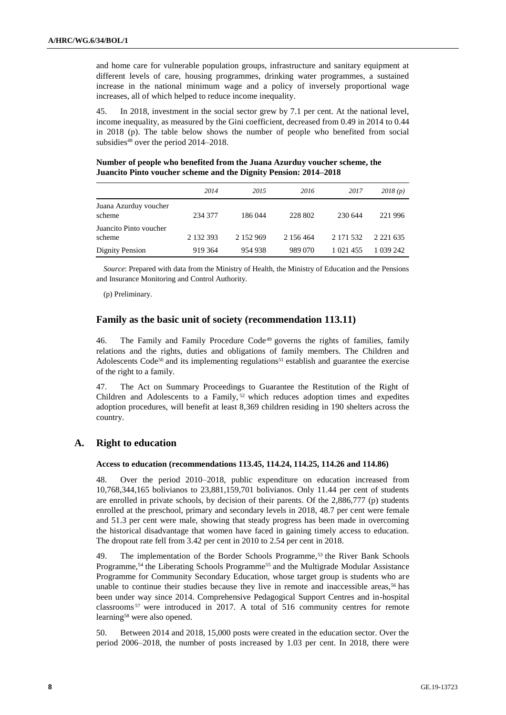and home care for vulnerable population groups, infrastructure and sanitary equipment at different levels of care, housing programmes, drinking water programmes, a sustained increase in the national minimum wage and a policy of inversely proportional wage increases, all of which helped to reduce income inequality.

45. In 2018, investment in the social sector grew by 7.1 per cent. At the national level, income inequality, as measured by the Gini coefficient, decreased from 0.49 in 2014 to 0.44 in 2018 (p). The table below shows the number of people who benefited from social subsidies<sup>48</sup> over the period 2014–2018.

**Number of people who benefited from the Juana Azurduy voucher scheme, the Juancito Pinto voucher scheme and the Dignity Pension: 2014–2018**

|                                  | 2014      | 2015      | 2016      | 2017          | 2018(p)       |
|----------------------------------|-----------|-----------|-----------|---------------|---------------|
|                                  |           |           |           |               |               |
| Juana Azurduy voucher<br>scheme  | 234 377   | 186044    | 228 802   | 230 644       | 221 996       |
| Juancito Pinto voucher<br>scheme | 2 132 393 | 2 152 969 | 2 156 464 | 2 171 532     | 2 2 2 1 6 3 5 |
| Dignity Pension                  | 919 364   | 954 938   | 989 070   | 1 0 2 1 4 5 5 | 1 039 242     |

*Source*: Prepared with data from the Ministry of Health, the Ministry of Education and the Pensions and Insurance Monitoring and Control Authority.

(p) Preliminary.

### **Family as the basic unit of society (recommendation 113.11)**

46. The Family and Family Procedure Code<sup>49</sup> governs the rights of families, family relations and the rights, duties and obligations of family members. The Children and Adolescents Code<sup>50</sup> and its implementing regulations<sup>51</sup> establish and guarantee the exercise of the right to a family.

47. The Act on Summary Proceedings to Guarantee the Restitution of the Right of Children and Adolescents to a Family,<sup>52</sup> which reduces adoption times and expedites adoption procedures, will benefit at least 8,369 children residing in 190 shelters across the country.

#### **A. Right to education**

#### **Access to education (recommendations 113.45, 114.24, 114.25, 114.26 and 114.86)**

48. Over the period 2010–2018, public expenditure on education increased from 10,768,344,165 bolivianos to 23,881,159,701 bolivianos. Only 11.44 per cent of students are enrolled in private schools, by decision of their parents. Of the 2,886,777 (p) students enrolled at the preschool, primary and secondary levels in 2018, 48.7 per cent were female and 51.3 per cent were male, showing that steady progress has been made in overcoming the historical disadvantage that women have faced in gaining timely access to education. The dropout rate fell from 3.42 per cent in 2010 to 2.54 per cent in 2018.

49. The implementation of the Border Schools Programme,<sup>53</sup> the River Bank Schools Programme,<sup>54</sup> the Liberating Schools Programme<sup>55</sup> and the Multigrade Modular Assistance Programme for Community Secondary Education, whose target group is students who are unable to continue their studies because they live in remote and inaccessible areas,<sup>56</sup> has been under way since 2014. Comprehensive Pedagogical Support Centres and in-hospital classrooms <sup>57</sup> were introduced in 2017. A total of 516 community centres for remote learning<sup>58</sup> were also opened.

50. Between 2014 and 2018, 15,000 posts were created in the education sector. Over the period 2006–2018, the number of posts increased by 1.03 per cent. In 2018, there were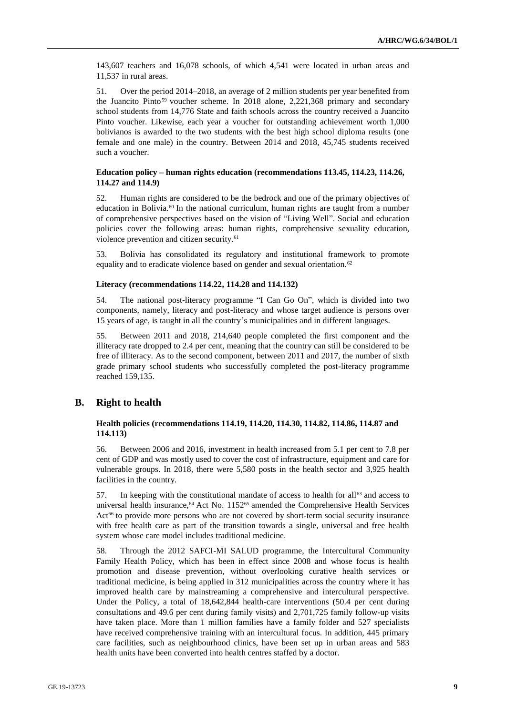143,607 teachers and 16,078 schools, of which 4,541 were located in urban areas and 11,537 in rural areas.

51. Over the period 2014–2018, an average of 2 million students per year benefited from the Juancito Pinto<sup>59</sup> voucher scheme. In 2018 alone, 2,221,368 primary and secondary school students from 14,776 State and faith schools across the country received a Juancito Pinto voucher. Likewise, each year a voucher for outstanding achievement worth 1,000 bolivianos is awarded to the two students with the best high school diploma results (one female and one male) in the country. Between 2014 and 2018, 45,745 students received such a voucher.

#### **Education policy – human rights education (recommendations 113.45, 114.23, 114.26, 114.27 and 114.9)**

52. Human rights are considered to be the bedrock and one of the primary objectives of education in Bolivia.<sup>60</sup> In the national curriculum, human rights are taught from a number of comprehensive perspectives based on the vision of "Living Well". Social and education policies cover the following areas: human rights, comprehensive sexuality education, violence prevention and citizen security.<sup>61</sup>

53. Bolivia has consolidated its regulatory and institutional framework to promote equality and to eradicate violence based on gender and sexual orientation.<sup>62</sup>

#### **Literacy (recommendations 114.22, 114.28 and 114.132)**

54. The national post-literacy programme "I Can Go On", which is divided into two components, namely, literacy and post-literacy and whose target audience is persons over 15 years of age, is taught in all the country's municipalities and in different languages.

55. Between 2011 and 2018, 214,640 people completed the first component and the illiteracy rate dropped to 2.4 per cent, meaning that the country can still be considered to be free of illiteracy. As to the second component, between 2011 and 2017, the number of sixth grade primary school students who successfully completed the post-literacy programme reached 159,135.

### **B. Right to health**

#### **Health policies (recommendations 114.19, 114.20, 114.30, 114.82, 114.86, 114.87 and 114.113)**

56. Between 2006 and 2016, investment in health increased from 5.1 per cent to 7.8 per cent of GDP and was mostly used to cover the cost of infrastructure, equipment and care for vulnerable groups. In 2018, there were 5,580 posts in the health sector and 3,925 health facilities in the country.

57. In keeping with the constitutional mandate of access to health for all<sup>63</sup> and access to universal health insurance,<sup>64</sup> Act No. 1152<sup>65</sup> amended the Comprehensive Health Services Act<sup>66</sup> to provide more persons who are not covered by short-term social security insurance with free health care as part of the transition towards a single, universal and free health system whose care model includes traditional medicine.

58. Through the 2012 SAFCI-MI SALUD programme, the Intercultural Community Family Health Policy, which has been in effect since 2008 and whose focus is health promotion and disease prevention, without overlooking curative health services or traditional medicine, is being applied in 312 municipalities across the country where it has improved health care by mainstreaming a comprehensive and intercultural perspective. Under the Policy, a total of 18,642,844 health-care interventions (50.4 per cent during consultations and 49.6 per cent during family visits) and 2,701,725 family follow-up visits have taken place. More than 1 million families have a family folder and 527 specialists have received comprehensive training with an intercultural focus. In addition, 445 primary care facilities, such as neighbourhood clinics, have been set up in urban areas and 583 health units have been converted into health centres staffed by a doctor.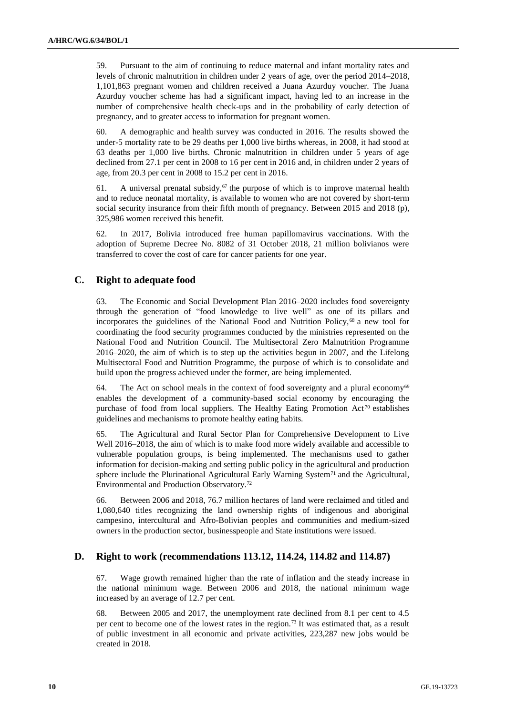59. Pursuant to the aim of continuing to reduce maternal and infant mortality rates and levels of chronic malnutrition in children under 2 years of age, over the period 2014–2018, 1,101,863 pregnant women and children received a Juana Azurduy voucher. The Juana Azurduy voucher scheme has had a significant impact, having led to an increase in the number of comprehensive health check-ups and in the probability of early detection of pregnancy, and to greater access to information for pregnant women.

60. A demographic and health survey was conducted in 2016. The results showed the under-5 mortality rate to be 29 deaths per 1,000 live births whereas, in 2008, it had stood at 63 deaths per 1,000 live births. Chronic malnutrition in children under 5 years of age declined from 27.1 per cent in 2008 to 16 per cent in 2016 and, in children under 2 years of age, from 20.3 per cent in 2008 to 15.2 per cent in 2016.

61. A universal prenatal subsidy, $67$  the purpose of which is to improve maternal health and to reduce neonatal mortality, is available to women who are not covered by short-term social security insurance from their fifth month of pregnancy. Between 2015 and 2018 (p), 325,986 women received this benefit.

62. In 2017, Bolivia introduced free human papillomavirus vaccinations. With the adoption of Supreme Decree No. 8082 of 31 October 2018, 21 million bolivianos were transferred to cover the cost of care for cancer patients for one year.

### **C. Right to adequate food**

63. The Economic and Social Development Plan 2016–2020 includes food sovereignty through the generation of "food knowledge to live well" as one of its pillars and incorporates the guidelines of the National Food and Nutrition Policy, $68$  a new tool for coordinating the food security programmes conducted by the ministries represented on the National Food and Nutrition Council. The Multisectoral Zero Malnutrition Programme 2016–2020, the aim of which is to step up the activities begun in 2007, and the Lifelong Multisectoral Food and Nutrition Programme, the purpose of which is to consolidate and build upon the progress achieved under the former, are being implemented.

64. The Act on school meals in the context of food sovereignty and a plural economy $69$ enables the development of a community-based social economy by encouraging the purchase of food from local suppliers. The Healthy Eating Promotion Act<sup>70</sup> establishes guidelines and mechanisms to promote healthy eating habits.

65. The Agricultural and Rural Sector Plan for Comprehensive Development to Live Well 2016–2018, the aim of which is to make food more widely available and accessible to vulnerable population groups, is being implemented. The mechanisms used to gather information for decision-making and setting public policy in the agricultural and production sphere include the Plurinational Agricultural Early Warning System<sup>71</sup> and the Agricultural, Environmental and Production Observatory.<sup>72</sup>

66. Between 2006 and 2018, 76.7 million hectares of land were reclaimed and titled and 1,080,640 titles recognizing the land ownership rights of indigenous and aboriginal campesino, intercultural and Afro-Bolivian peoples and communities and medium-sized owners in the production sector, businesspeople and State institutions were issued.

### **D. Right to work (recommendations 113.12, 114.24, 114.82 and 114.87)**

67. Wage growth remained higher than the rate of inflation and the steady increase in the national minimum wage. Between 2006 and 2018, the national minimum wage increased by an average of 12.7 per cent.

68. Between 2005 and 2017, the unemployment rate declined from 8.1 per cent to 4.5 per cent to become one of the lowest rates in the region.<sup>73</sup> It was estimated that, as a result of public investment in all economic and private activities, 223,287 new jobs would be created in 2018.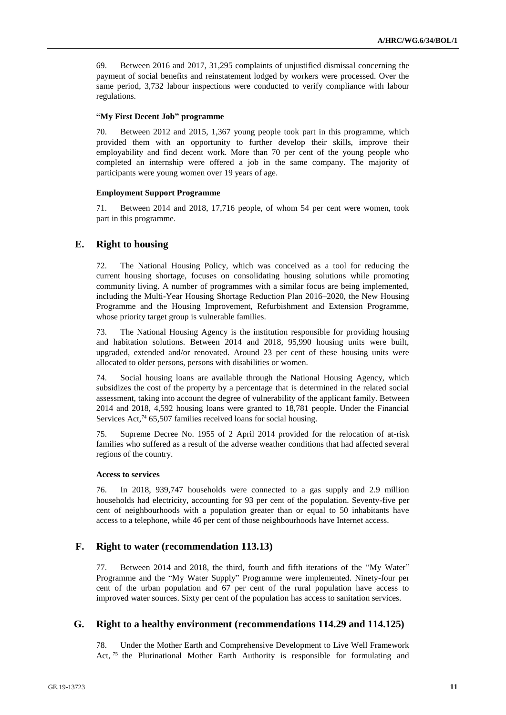69. Between 2016 and 2017, 31,295 complaints of unjustified dismissal concerning the payment of social benefits and reinstatement lodged by workers were processed. Over the same period, 3,732 labour inspections were conducted to verify compliance with labour regulations.

#### **"My First Decent Job" programme**

70. Between 2012 and 2015, 1,367 young people took part in this programme, which provided them with an opportunity to further develop their skills, improve their employability and find decent work. More than 70 per cent of the young people who completed an internship were offered a job in the same company. The majority of participants were young women over 19 years of age.

#### **Employment Support Programme**

71. Between 2014 and 2018, 17,716 people, of whom 54 per cent were women, took part in this programme.

### **E. Right to housing**

72. The National Housing Policy, which was conceived as a tool for reducing the current housing shortage, focuses on consolidating housing solutions while promoting community living. A number of programmes with a similar focus are being implemented, including the Multi-Year Housing Shortage Reduction Plan 2016–2020, the New Housing Programme and the Housing Improvement, Refurbishment and Extension Programme, whose priority target group is vulnerable families.

73. The National Housing Agency is the institution responsible for providing housing and habitation solutions. Between 2014 and 2018, 95,990 housing units were built, upgraded, extended and/or renovated. Around 23 per cent of these housing units were allocated to older persons, persons with disabilities or women.

74. Social housing loans are available through the National Housing Agency, which subsidizes the cost of the property by a percentage that is determined in the related social assessment, taking into account the degree of vulnerability of the applicant family. Between 2014 and 2018, 4,592 housing loans were granted to 18,781 people. Under the Financial Services Act,<sup>74</sup> 65,507 families received loans for social housing.

75. Supreme Decree No. 1955 of 2 April 2014 provided for the relocation of at-risk families who suffered as a result of the adverse weather conditions that had affected several regions of the country.

#### **Access to services**

76. In 2018, 939,747 households were connected to a gas supply and 2.9 million households had electricity, accounting for 93 per cent of the population. Seventy-five per cent of neighbourhoods with a population greater than or equal to 50 inhabitants have access to a telephone, while 46 per cent of those neighbourhoods have Internet access.

### **F. Right to water (recommendation 113.13)**

77. Between 2014 and 2018, the third, fourth and fifth iterations of the "My Water" Programme and the "My Water Supply" Programme were implemented. Ninety-four per cent of the urban population and 67 per cent of the rural population have access to improved water sources. Sixty per cent of the population has access to sanitation services.

### **G. Right to a healthy environment (recommendations 114.29 and 114.125)**

78. Under the Mother Earth and Comprehensive Development to Live Well Framework Act, <sup>75</sup> the Plurinational Mother Earth Authority is responsible for formulating and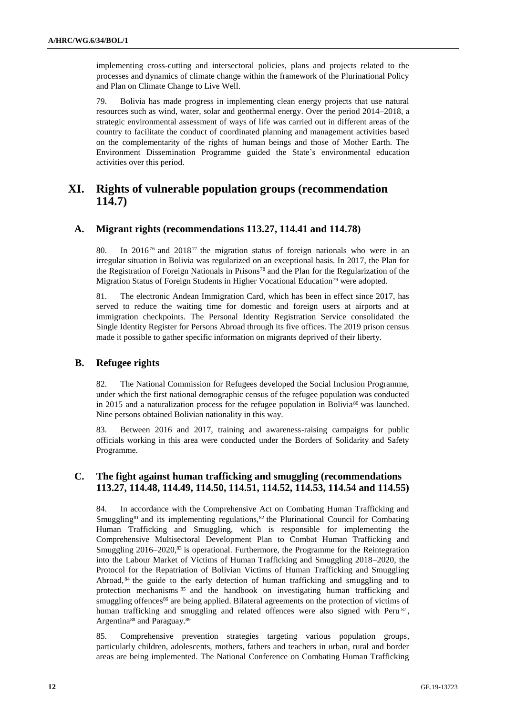implementing cross-cutting and intersectoral policies, plans and projects related to the processes and dynamics of climate change within the framework of the Plurinational Policy and Plan on Climate Change to Live Well.

79. Bolivia has made progress in implementing clean energy projects that use natural resources such as wind, water, solar and geothermal energy. Over the period 2014–2018, a strategic environmental assessment of ways of life was carried out in different areas of the country to facilitate the conduct of coordinated planning and management activities based on the complementarity of the rights of human beings and those of Mother Earth. The Environment Dissemination Programme guided the State's environmental education activities over this period.

# **XI. Rights of vulnerable population groups (recommendation 114.7)**

### **A. Migrant rights (recommendations 113.27, 114.41 and 114.78)**

80. In 2016<sup>76</sup> and 2018<sup>77</sup> the migration status of foreign nationals who were in an irregular situation in Bolivia was regularized on an exceptional basis. In 2017, the Plan for the Registration of Foreign Nationals in Prisons<sup>78</sup> and the Plan for the Regularization of the Migration Status of Foreign Students in Higher Vocational Education<sup>79</sup> were adopted.

81. The electronic Andean Immigration Card, which has been in effect since 2017, has served to reduce the waiting time for domestic and foreign users at airports and at immigration checkpoints. The Personal Identity Registration Service consolidated the Single Identity Register for Persons Abroad through its five offices. The 2019 prison census made it possible to gather specific information on migrants deprived of their liberty.

### **B. Refugee rights**

82. The National Commission for Refugees developed the Social Inclusion Programme, under which the first national demographic census of the refugee population was conducted in 2015 and a naturalization process for the refugee population in Bolivia<sup>80</sup> was launched. Nine persons obtained Bolivian nationality in this way.

83. Between 2016 and 2017, training and awareness-raising campaigns for public officials working in this area were conducted under the Borders of Solidarity and Safety Programme.

### **C. The fight against human trafficking and smuggling (recommendations 113.27, 114.48, 114.49, 114.50, 114.51, 114.52, 114.53, 114.54 and 114.55)**

84. In accordance with the Comprehensive Act on Combating Human Trafficking and Smuggling<sup>81</sup> and its implementing regulations,<sup>82</sup> the Plurinational Council for Combating Human Trafficking and Smuggling, which is responsible for implementing the Comprehensive Multisectoral Development Plan to Combat Human Trafficking and Smuggling  $2016-2020$ ,<sup>83</sup> is operational. Furthermore, the Programme for the Reintegration into the Labour Market of Victims of Human Trafficking and Smuggling 2018–2020, the Protocol for the Repatriation of Bolivian Victims of Human Trafficking and Smuggling Abroad, <sup>84</sup> the guide to the early detection of human trafficking and smuggling and to protection mechanisms <sup>85</sup> and the handbook on investigating human trafficking and smuggling offences<sup>86</sup> are being applied. Bilateral agreements on the protection of victims of human trafficking and smuggling and related offences were also signed with Peru $\mathrm{^{87}}$ , Argentina<sup>88</sup> and Paraguay.<sup>89</sup>

85. Comprehensive prevention strategies targeting various population groups, particularly children, adolescents, mothers, fathers and teachers in urban, rural and border areas are being implemented. The National Conference on Combating Human Trafficking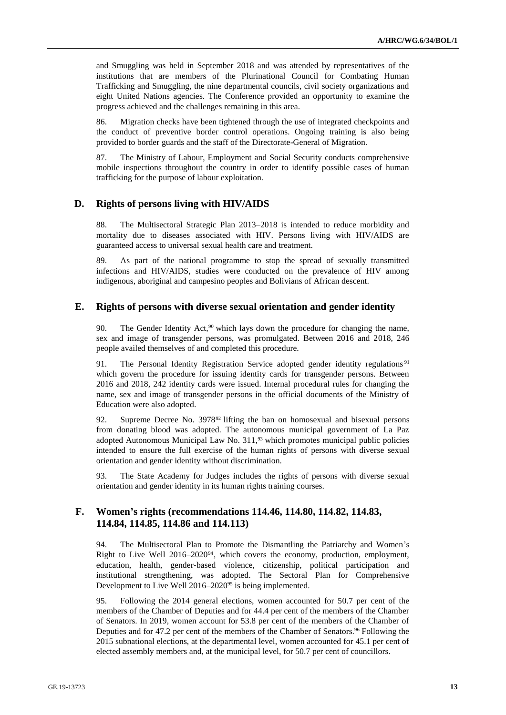and Smuggling was held in September 2018 and was attended by representatives of the institutions that are members of the Plurinational Council for Combating Human Trafficking and Smuggling, the nine departmental councils, civil society organizations and eight United Nations agencies. The Conference provided an opportunity to examine the progress achieved and the challenges remaining in this area.

86. Migration checks have been tightened through the use of integrated checkpoints and the conduct of preventive border control operations. Ongoing training is also being provided to border guards and the staff of the Directorate-General of Migration.

87. The Ministry of Labour, Employment and Social Security conducts comprehensive mobile inspections throughout the country in order to identify possible cases of human trafficking for the purpose of labour exploitation.

### **D. Rights of persons living with HIV/AIDS**

88. The Multisectoral Strategic Plan 2013–2018 is intended to reduce morbidity and mortality due to diseases associated with HIV. Persons living with HIV/AIDS are guaranteed access to universal sexual health care and treatment.

89. As part of the national programme to stop the spread of sexually transmitted infections and HIV/AIDS, studies were conducted on the prevalence of HIV among indigenous, aboriginal and campesino peoples and Bolivians of African descent.

#### **E. Rights of persons with diverse sexual orientation and gender identity**

90. The Gender Identity Act,<sup>90</sup> which lays down the procedure for changing the name, sex and image of transgender persons, was promulgated. Between 2016 and 2018, 246 people availed themselves of and completed this procedure.

91. The Personal Identity Registration Service adopted gender identity regulations<sup>91</sup> which govern the procedure for issuing identity cards for transgender persons. Between 2016 and 2018, 242 identity cards were issued. Internal procedural rules for changing the name, sex and image of transgender persons in the official documents of the Ministry of Education were also adopted.

92. Supreme Decree No. 3978<sup>92</sup> lifting the ban on homosexual and bisexual persons from donating blood was adopted. The autonomous municipal government of La Paz adopted Autonomous Municipal Law No. 311,<sup>93</sup> which promotes municipal public policies intended to ensure the full exercise of the human rights of persons with diverse sexual orientation and gender identity without discrimination.

93. The State Academy for Judges includes the rights of persons with diverse sexual orientation and gender identity in its human rights training courses.

### **F. Women's rights (recommendations 114.46, 114.80, 114.82, 114.83, 114.84, 114.85, 114.86 and 114.113)**

94. The Multisectoral Plan to Promote the Dismantling the Patriarchy and Women's Right to Live Well  $2016-2020^{94}$ , which covers the economy, production, employment, education, health, gender-based violence, citizenship, political participation and institutional strengthening, was adopted. The Sectoral Plan for Comprehensive Development to Live Well 2016–2020<sup>95</sup> is being implemented.

95. Following the 2014 general elections, women accounted for 50.7 per cent of the members of the Chamber of Deputies and for 44.4 per cent of the members of the Chamber of Senators. In 2019, women account for 53.8 per cent of the members of the Chamber of Deputies and for 47.2 per cent of the members of the Chamber of Senators.<sup>96</sup> Following the 2015 subnational elections, at the departmental level, women accounted for 45.1 per cent of elected assembly members and, at the municipal level, for 50.7 per cent of councillors.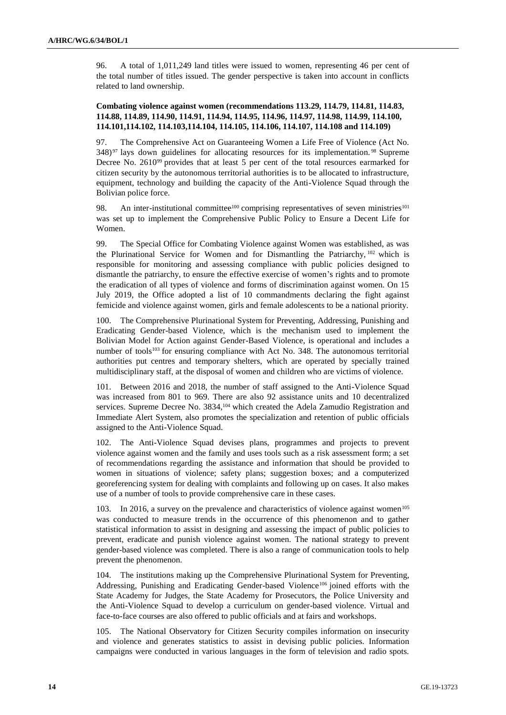96. A total of 1,011,249 land titles were issued to women, representing 46 per cent of the total number of titles issued. The gender perspective is taken into account in conflicts related to land ownership.

#### **Combating violence against women (recommendations 113.29, 114.79, 114.81, 114.83, 114.88, 114.89, 114.90, 114.91, 114.94, 114.95, 114.96, 114.97, 114.98, 114.99, 114.100, 114.101,114.102, 114.103,114.104, 114.105, 114.106, 114.107, 114.108 and 114.109)**

97. The Comprehensive Act on Guaranteeing Women a Life Free of Violence (Act No. 348) <sup>97</sup> lays down guidelines for allocating resources for its implementation. <sup>98</sup> Supreme Decree No. 2610<sup>99</sup> provides that at least 5 per cent of the total resources earmarked for citizen security by the autonomous territorial authorities is to be allocated to infrastructure, equipment, technology and building the capacity of the Anti-Violence Squad through the Bolivian police force.

98. An inter-institutional committee<sup>100</sup> comprising representatives of seven ministries<sup>101</sup> was set up to implement the Comprehensive Public Policy to Ensure a Decent Life for Women.

99. The Special Office for Combating Violence against Women was established, as was the Plurinational Service for Women and for Dismantling the Patriarchy, <sup>102</sup> which is responsible for monitoring and assessing compliance with public policies designed to dismantle the patriarchy, to ensure the effective exercise of women's rights and to promote the eradication of all types of violence and forms of discrimination against women. On 15 July 2019, the Office adopted a list of 10 commandments declaring the fight against femicide and violence against women, girls and female adolescents to be a national priority.

100. The Comprehensive Plurinational System for Preventing, Addressing, Punishing and Eradicating Gender-based Violence, which is the mechanism used to implement the Bolivian Model for Action against Gender-Based Violence, is operational and includes a number of tools<sup>103</sup> for ensuring compliance with Act No. 348. The autonomous territorial authorities put centres and temporary shelters, which are operated by specially trained multidisciplinary staff, at the disposal of women and children who are victims of violence.

101. Between 2016 and 2018, the number of staff assigned to the Anti-Violence Squad was increased from 801 to 969. There are also 92 assistance units and 10 decentralized services. Supreme Decree No. 3834,<sup>104</sup> which created the Adela Zamudio Registration and Immediate Alert System, also promotes the specialization and retention of public officials assigned to the Anti-Violence Squad.

102. The Anti-Violence Squad devises plans, programmes and projects to prevent violence against women and the family and uses tools such as a risk assessment form; a set of recommendations regarding the assistance and information that should be provided to women in situations of violence; safety plans; suggestion boxes; and a computerized georeferencing system for dealing with complaints and following up on cases. It also makes use of a number of tools to provide comprehensive care in these cases.

103. In 2016, a survey on the prevalence and characteristics of violence against women<sup>105</sup> was conducted to measure trends in the occurrence of this phenomenon and to gather statistical information to assist in designing and assessing the impact of public policies to prevent, eradicate and punish violence against women. The national strategy to prevent gender-based violence was completed. There is also a range of communication tools to help prevent the phenomenon.

104. The institutions making up the Comprehensive Plurinational System for Preventing, Addressing, Punishing and Eradicating Gender-based Violence<sup>106</sup> joined efforts with the State Academy for Judges, the State Academy for Prosecutors, the Police University and the Anti-Violence Squad to develop a curriculum on gender-based violence. Virtual and face-to-face courses are also offered to public officials and at fairs and workshops.

105. The National Observatory for Citizen Security compiles information on insecurity and violence and generates statistics to assist in devising public policies. Information campaigns were conducted in various languages in the form of television and radio spots.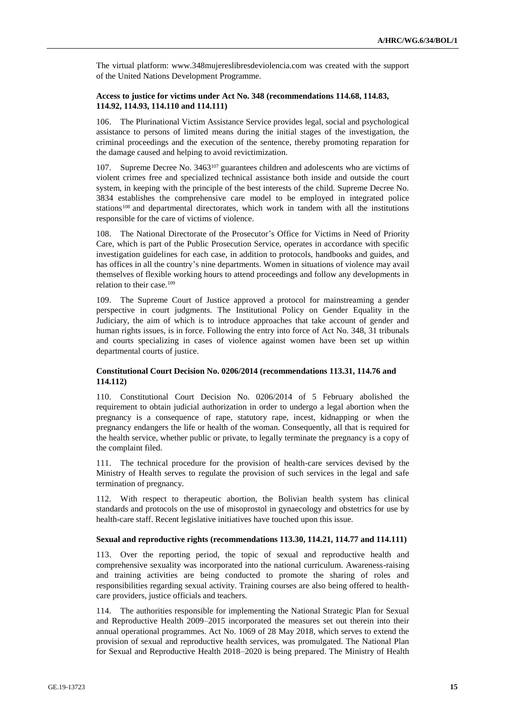The virtual platform: www.348mujereslibresdeviolencia.com was created with the support of the United Nations Development Programme.

#### **Access to justice for victims under Act No. 348 (recommendations 114.68, 114.83, 114.92, 114.93, 114.110 and 114.111)**

106. The Plurinational Victim Assistance Service provides legal, social and psychological assistance to persons of limited means during the initial stages of the investigation, the criminal proceedings and the execution of the sentence, thereby promoting reparation for the damage caused and helping to avoid revictimization.

107. Supreme Decree No. 3463<sup>107</sup> guarantees children and adolescents who are victims of violent crimes free and specialized technical assistance both inside and outside the court system, in keeping with the principle of the best interests of the child. Supreme Decree No. 3834 establishes the comprehensive care model to be employed in integrated police stations<sup>108</sup> and departmental directorates, which work in tandem with all the institutions responsible for the care of victims of violence.

108. The National Directorate of the Prosecutor's Office for Victims in Need of Priority Care, which is part of the Public Prosecution Service, operates in accordance with specific investigation guidelines for each case, in addition to protocols, handbooks and guides, and has offices in all the country's nine departments. Women in situations of violence may avail themselves of flexible working hours to attend proceedings and follow any developments in relation to their case.<sup>109</sup>

109. The Supreme Court of Justice approved a protocol for mainstreaming a gender perspective in court judgments. The Institutional Policy on Gender Equality in the Judiciary, the aim of which is to introduce approaches that take account of gender and human rights issues, is in force. Following the entry into force of Act No. 348, 31 tribunals and courts specializing in cases of violence against women have been set up within departmental courts of justice.

#### **Constitutional Court Decision No. 0206/2014 (recommendations 113.31, 114.76 and 114.112)**

110. Constitutional Court Decision No. 0206/2014 of 5 February abolished the requirement to obtain judicial authorization in order to undergo a legal abortion when the pregnancy is a consequence of rape, statutory rape, incest, kidnapping or when the pregnancy endangers the life or health of the woman. Consequently, all that is required for the health service, whether public or private, to legally terminate the pregnancy is a copy of the complaint filed.

111. The technical procedure for the provision of health-care services devised by the Ministry of Health serves to regulate the provision of such services in the legal and safe termination of pregnancy.

112. With respect to therapeutic abortion, the Bolivian health system has clinical standards and protocols on the use of misoprostol in gynaecology and obstetrics for use by health-care staff. Recent legislative initiatives have touched upon this issue.

#### **Sexual and reproductive rights (recommendations 113.30, 114.21, 114.77 and 114.111)**

113. Over the reporting period, the topic of sexual and reproductive health and comprehensive sexuality was incorporated into the national curriculum. Awareness-raising and training activities are being conducted to promote the sharing of roles and responsibilities regarding sexual activity. Training courses are also being offered to healthcare providers, justice officials and teachers.

114. The authorities responsible for implementing the National Strategic Plan for Sexual and Reproductive Health 2009–2015 incorporated the measures set out therein into their annual operational programmes. Act No. 1069 of 28 May 2018, which serves to extend the provision of sexual and reproductive health services, was promulgated. The National Plan for Sexual and Reproductive Health 2018–2020 is being prepared. The Ministry of Health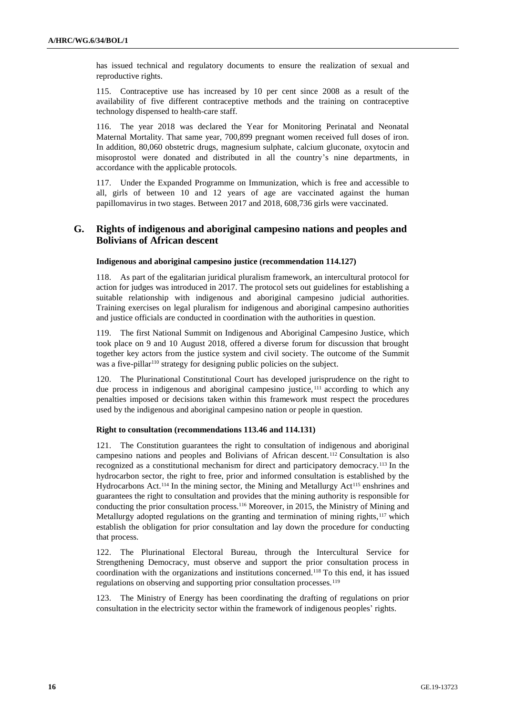has issued technical and regulatory documents to ensure the realization of sexual and reproductive rights.

115. Contraceptive use has increased by 10 per cent since 2008 as a result of the availability of five different contraceptive methods and the training on contraceptive technology dispensed to health-care staff.

116. The year 2018 was declared the Year for Monitoring Perinatal and Neonatal Maternal Mortality. That same year, 700,899 pregnant women received full doses of iron. In addition, 80,060 obstetric drugs, magnesium sulphate, calcium gluconate, oxytocin and misoprostol were donated and distributed in all the country's nine departments, in accordance with the applicable protocols.

117. Under the Expanded Programme on Immunization, which is free and accessible to all, girls of between 10 and 12 years of age are vaccinated against the human papillomavirus in two stages. Between 2017 and 2018, 608,736 girls were vaccinated.

### **G. Rights of indigenous and aboriginal campesino nations and peoples and Bolivians of African descent**

### **Indigenous and aboriginal campesino justice (recommendation 114.127)**

118. As part of the egalitarian juridical pluralism framework, an intercultural protocol for action for judges was introduced in 2017. The protocol sets out guidelines for establishing a suitable relationship with indigenous and aboriginal campesino judicial authorities. Training exercises on legal pluralism for indigenous and aboriginal campesino authorities and justice officials are conducted in coordination with the authorities in question.

119. The first National Summit on Indigenous and Aboriginal Campesino Justice, which took place on 9 and 10 August 2018, offered a diverse forum for discussion that brought together key actors from the justice system and civil society. The outcome of the Summit was a five-pillar<sup>110</sup> strategy for designing public policies on the subject.

120. The Plurinational Constitutional Court has developed jurisprudence on the right to due process in indigenous and aboriginal campesino justice, <sup>111</sup> according to which any penalties imposed or decisions taken within this framework must respect the procedures used by the indigenous and aboriginal campesino nation or people in question.

#### **Right to consultation (recommendations 113.46 and 114.131)**

121. The Constitution guarantees the right to consultation of indigenous and aboriginal campesino nations and peoples and Bolivians of African descent.<sup>112</sup> Consultation is also recognized as a constitutional mechanism for direct and participatory democracy.<sup>113</sup> In the hydrocarbon sector, the right to free, prior and informed consultation is established by the Hydrocarbons Act.<sup>114</sup> In the mining sector, the Mining and Metallurgy Act<sup>115</sup> enshrines and guarantees the right to consultation and provides that the mining authority is responsible for conducting the prior consultation process.<sup>116</sup> Moreover, in 2015, the Ministry of Mining and Metallurgy adopted regulations on the granting and termination of mining rights,<sup>117</sup> which establish the obligation for prior consultation and lay down the procedure for conducting that process.

122. The Plurinational Electoral Bureau, through the Intercultural Service for Strengthening Democracy, must observe and support the prior consultation process in coordination with the organizations and institutions concerned.<sup>118</sup> To this end, it has issued regulations on observing and supporting prior consultation processes.<sup>119</sup>

123. The Ministry of Energy has been coordinating the drafting of regulations on prior consultation in the electricity sector within the framework of indigenous peoples' rights.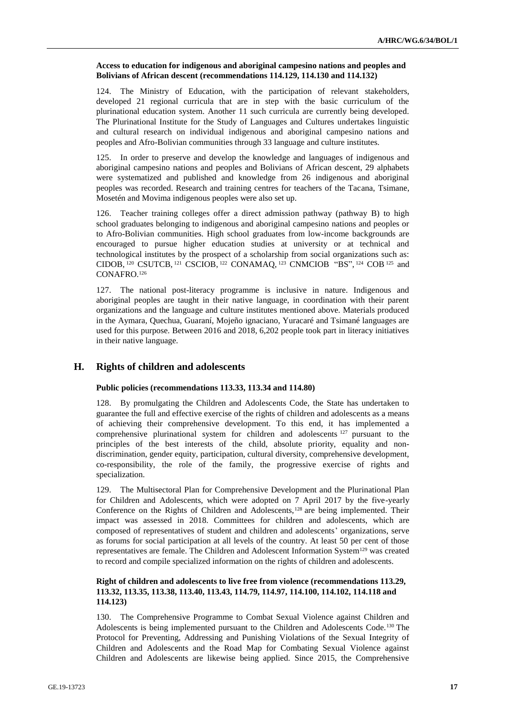#### **Access to education for indigenous and aboriginal campesino nations and peoples and Bolivians of African descent (recommendations 114.129, 114.130 and 114.132)**

124. The Ministry of Education, with the participation of relevant stakeholders, developed 21 regional curricula that are in step with the basic curriculum of the plurinational education system. Another 11 such curricula are currently being developed. The Plurinational Institute for the Study of Languages and Cultures undertakes linguistic and cultural research on individual indigenous and aboriginal campesino nations and peoples and Afro-Bolivian communities through 33 language and culture institutes.

125. In order to preserve and develop the knowledge and languages of indigenous and aboriginal campesino nations and peoples and Bolivians of African descent, 29 alphabets were systematized and published and knowledge from 26 indigenous and aboriginal peoples was recorded. Research and training centres for teachers of the Tacana, Tsimane, Mosetén and Movima indigenous peoples were also set up.

126. Teacher training colleges offer a direct admission pathway (pathway B) to high school graduates belonging to indigenous and aboriginal campesino nations and peoples or to Afro-Bolivian communities. High school graduates from low-income backgrounds are encouraged to pursue higher education studies at university or at technical and technological institutes by the prospect of a scholarship from social organizations such as: CIDOB,  $^{120}$  CSUTCB,  $^{121}$  CSCIOB,  $^{122}$  CONAMAQ,  $^{123}$  CNMCIOB "BS",  $^{124}$  COB  $^{125}$  and CONAFRO.<sup>126</sup>

127. The national post-literacy programme is inclusive in nature. Indigenous and aboriginal peoples are taught in their native language, in coordination with their parent organizations and the language and culture institutes mentioned above. Materials produced in the Aymara, Quechua, Guaraní, Mojeño ignaciano, Yuracaré and Tsimané languages are used for this purpose. Between 2016 and 2018, 6,202 people took part in literacy initiatives in their native language.

### **H. Rights of children and adolescents**

#### **Public policies (recommendations 113.33, 113.34 and 114.80)**

128. By promulgating the Children and Adolescents Code, the State has undertaken to guarantee the full and effective exercise of the rights of children and adolescents as a means of achieving their comprehensive development. To this end, it has implemented a comprehensive plurinational system for children and adolescents <sup>127</sup> pursuant to the principles of the best interests of the child, absolute priority, equality and nondiscrimination, gender equity, participation, cultural diversity, comprehensive development, co-responsibility, the role of the family, the progressive exercise of rights and specialization.

129. The Multisectoral Plan for Comprehensive Development and the Plurinational Plan for Children and Adolescents, which were adopted on 7 April 2017 by the five-yearly Conference on the Rights of Children and Adolescents,<sup>128</sup> are being implemented. Their impact was assessed in 2018. Committees for children and adolescents, which are composed of representatives of student and children and adolescents' organizations, serve as forums for social participation at all levels of the country. At least 50 per cent of those representatives are female. The Children and Adolescent Information System<sup>129</sup> was created to record and compile specialized information on the rights of children and adolescents.

#### **Right of children and adolescents to live free from violence (recommendations 113.29, 113.32, 113.35, 113.38, 113.40, 113.43, 114.79, 114.97, 114.100, 114.102, 114.118 and 114.123)**

130. The Comprehensive Programme to Combat Sexual Violence against Children and Adolescents is being implemented pursuant to the Children and Adolescents Code.<sup>130</sup> The Protocol for Preventing, Addressing and Punishing Violations of the Sexual Integrity of Children and Adolescents and the Road Map for Combating Sexual Violence against Children and Adolescents are likewise being applied. Since 2015, the Comprehensive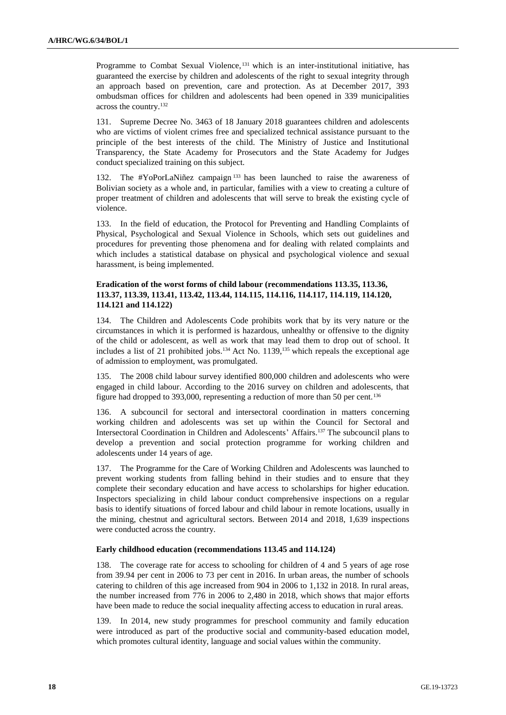Programme to Combat Sexual Violence, <sup>131</sup> which is an inter-institutional initiative, has guaranteed the exercise by children and adolescents of the right to sexual integrity through an approach based on prevention, care and protection. As at December 2017, 393 ombudsman offices for children and adolescents had been opened in 339 municipalities across the country.<sup>132</sup>

131. Supreme Decree No. 3463 of 18 January 2018 guarantees children and adolescents who are victims of violent crimes free and specialized technical assistance pursuant to the principle of the best interests of the child. The Ministry of Justice and Institutional Transparency, the State Academy for Prosecutors and the State Academy for Judges conduct specialized training on this subject.

132. The #YoPorLaNiñez campaign <sup>133</sup> has been launched to raise the awareness of Bolivian society as a whole and, in particular, families with a view to creating a culture of proper treatment of children and adolescents that will serve to break the existing cycle of violence.

133. In the field of education, the Protocol for Preventing and Handling Complaints of Physical, Psychological and Sexual Violence in Schools, which sets out guidelines and procedures for preventing those phenomena and for dealing with related complaints and which includes a statistical database on physical and psychological violence and sexual harassment, is being implemented.

#### **Eradication of the worst forms of child labour (recommendations 113.35, 113.36, 113.37, 113.39, 113.41, 113.42, 113.44, 114.115, 114.116, 114.117, 114.119, 114.120, 114.121 and 114.122)**

134. The Children and Adolescents Code prohibits work that by its very nature or the circumstances in which it is performed is hazardous, unhealthy or offensive to the dignity of the child or adolescent, as well as work that may lead them to drop out of school. It includes a list of 21 prohibited jobs.<sup>134</sup> Act No. 1139,<sup>135</sup> which repeals the exceptional age of admission to employment, was promulgated.

135. The 2008 child labour survey identified 800,000 children and adolescents who were engaged in child labour. According to the 2016 survey on children and adolescents, that figure had dropped to 393,000, representing a reduction of more than 50 per cent.<sup>136</sup>

136. A subcouncil for sectoral and intersectoral coordination in matters concerning working children and adolescents was set up within the Council for Sectoral and Intersectoral Coordination in Children and Adolescents' Affairs.<sup>137</sup> The subcouncil plans to develop a prevention and social protection programme for working children and adolescents under 14 years of age.

137. The Programme for the Care of Working Children and Adolescents was launched to prevent working students from falling behind in their studies and to ensure that they complete their secondary education and have access to scholarships for higher education. Inspectors specializing in child labour conduct comprehensive inspections on a regular basis to identify situations of forced labour and child labour in remote locations, usually in the mining, chestnut and agricultural sectors. Between 2014 and 2018, 1,639 inspections were conducted across the country.

#### **Early childhood education (recommendations 113.45 and 114.124)**

138. The coverage rate for access to schooling for children of 4 and 5 years of age rose from 39.94 per cent in 2006 to 73 per cent in 2016. In urban areas, the number of schools catering to children of this age increased from 904 in 2006 to 1,132 in 2018. In rural areas, the number increased from 776 in 2006 to 2,480 in 2018, which shows that major efforts have been made to reduce the social inequality affecting access to education in rural areas.

139. In 2014, new study programmes for preschool community and family education were introduced as part of the productive social and community-based education model, which promotes cultural identity, language and social values within the community.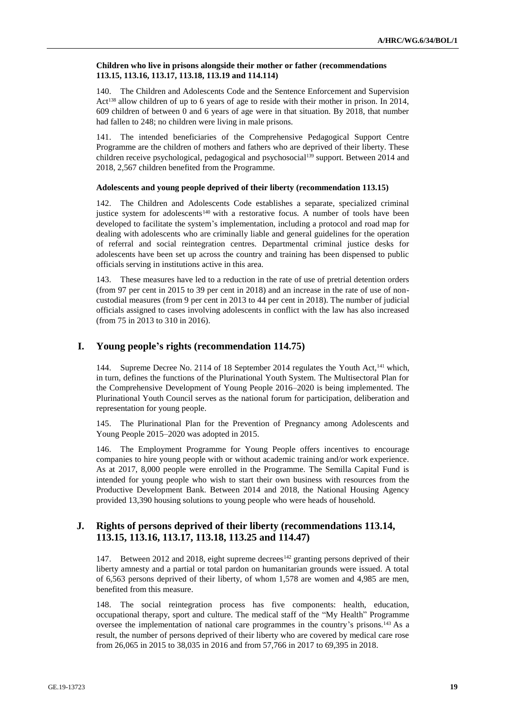#### **Children who live in prisons alongside their mother or father (recommendations 113.15, 113.16, 113.17, 113.18, 113.19 and 114.114)**

140. The Children and Adolescents Code and the Sentence Enforcement and Supervision Act<sup>138</sup> allow children of up to 6 years of age to reside with their mother in prison. In 2014, 609 children of between 0 and 6 years of age were in that situation. By 2018, that number had fallen to 248; no children were living in male prisons.

141. The intended beneficiaries of the Comprehensive Pedagogical Support Centre Programme are the children of mothers and fathers who are deprived of their liberty. These children receive psychological, pedagogical and psychosocial<sup>139</sup> support. Between 2014 and 2018, 2,567 children benefited from the Programme.

#### **Adolescents and young people deprived of their liberty (recommendation 113.15)**

142. The Children and Adolescents Code establishes a separate, specialized criminal justice system for adolescents<sup>140</sup> with a restorative focus. A number of tools have been developed to facilitate the system's implementation, including a protocol and road map for dealing with adolescents who are criminally liable and general guidelines for the operation of referral and social reintegration centres. Departmental criminal justice desks for adolescents have been set up across the country and training has been dispensed to public officials serving in institutions active in this area.

143. These measures have led to a reduction in the rate of use of pretrial detention orders (from 97 per cent in 2015 to 39 per cent in 2018) and an increase in the rate of use of noncustodial measures (from 9 per cent in 2013 to 44 per cent in 2018). The number of judicial officials assigned to cases involving adolescents in conflict with the law has also increased (from 75 in 2013 to 310 in 2016).

### **I. Young people's rights (recommendation 114.75)**

144. Supreme Decree No. 2114 of 18 September 2014 regulates the Youth Act,<sup>141</sup> which, in turn, defines the functions of the Plurinational Youth System. The Multisectoral Plan for the Comprehensive Development of Young People 2016–2020 is being implemented. The Plurinational Youth Council serves as the national forum for participation, deliberation and representation for young people.

145. The Plurinational Plan for the Prevention of Pregnancy among Adolescents and Young People 2015–2020 was adopted in 2015.

146. The Employment Programme for Young People offers incentives to encourage companies to hire young people with or without academic training and/or work experience. As at 2017, 8,000 people were enrolled in the Programme. The Semilla Capital Fund is intended for young people who wish to start their own business with resources from the Productive Development Bank. Between 2014 and 2018, the National Housing Agency provided 13,390 housing solutions to young people who were heads of household.

### **J. Rights of persons deprived of their liberty (recommendations 113.14, 113.15, 113.16, 113.17, 113.18, 113.25 and 114.47)**

147. Between 2012 and 2018, eight supreme decrees<sup>142</sup> granting persons deprived of their liberty amnesty and a partial or total pardon on humanitarian grounds were issued. A total of 6,563 persons deprived of their liberty, of whom 1,578 are women and 4,985 are men, benefited from this measure.

148. The social reintegration process has five components: health, education, occupational therapy, sport and culture. The medical staff of the "My Health" Programme oversee the implementation of national care programmes in the country's prisons.<sup>143</sup> As a result, the number of persons deprived of their liberty who are covered by medical care rose from 26,065 in 2015 to 38,035 in 2016 and from 57,766 in 2017 to 69,395 in 2018.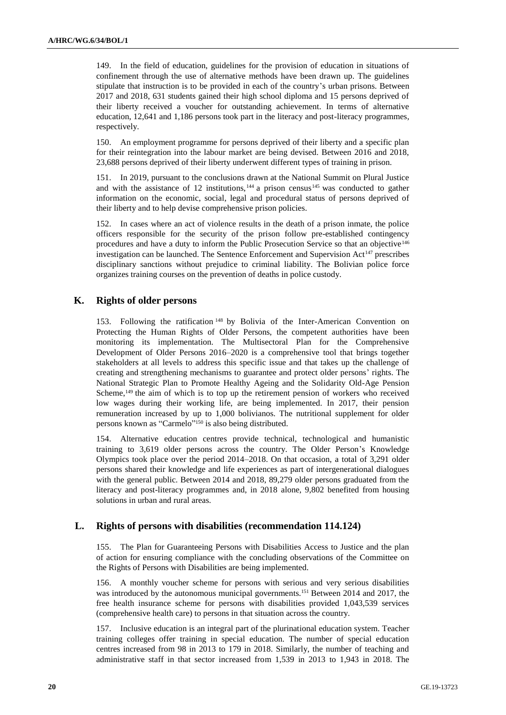149. In the field of education, guidelines for the provision of education in situations of confinement through the use of alternative methods have been drawn up. The guidelines stipulate that instruction is to be provided in each of the country's urban prisons. Between 2017 and 2018, 631 students gained their high school diploma and 15 persons deprived of their liberty received a voucher for outstanding achievement. In terms of alternative education, 12,641 and 1,186 persons took part in the literacy and post-literacy programmes, respectively.

150. An employment programme for persons deprived of their liberty and a specific plan for their reintegration into the labour market are being devised. Between 2016 and 2018, 23,688 persons deprived of their liberty underwent different types of training in prison.

151. In 2019, pursuant to the conclusions drawn at the National Summit on Plural Justice and with the assistance of 12 institutions, $144$  a prison census  $145$  was conducted to gather information on the economic, social, legal and procedural status of persons deprived of their liberty and to help devise comprehensive prison policies.

152. In cases where an act of violence results in the death of a prison inmate, the police officers responsible for the security of the prison follow pre-established contingency procedures and have a duty to inform the Public Prosecution Service so that an objective<sup>146</sup> investigation can be launched. The Sentence Enforcement and Supervision Act<sup>147</sup> prescribes disciplinary sanctions without prejudice to criminal liability. The Bolivian police force organizes training courses on the prevention of deaths in police custody.

### **K. Rights of older persons**

153. Following the ratification <sup>148</sup> by Bolivia of the Inter-American Convention on Protecting the Human Rights of Older Persons, the competent authorities have been monitoring its implementation. The Multisectoral Plan for the Comprehensive Development of Older Persons 2016–2020 is a comprehensive tool that brings together stakeholders at all levels to address this specific issue and that takes up the challenge of creating and strengthening mechanisms to guarantee and protect older persons' rights. The National Strategic Plan to Promote Healthy Ageing and the Solidarity Old-Age Pension Scheme, $149$  the aim of which is to top up the retirement pension of workers who received low wages during their working life, are being implemented. In 2017, their pension remuneration increased by up to 1,000 bolivianos. The nutritional supplement for older persons known as "Carmelo"<sup>150</sup> is also being distributed.

154. Alternative education centres provide technical, technological and humanistic training to 3,619 older persons across the country. The Older Person's Knowledge Olympics took place over the period 2014–2018. On that occasion, a total of 3,291 older persons shared their knowledge and life experiences as part of intergenerational dialogues with the general public. Between 2014 and 2018, 89,279 older persons graduated from the literacy and post-literacy programmes and, in 2018 alone, 9,802 benefited from housing solutions in urban and rural areas.

### **L. Rights of persons with disabilities (recommendation 114.124)**

155. The Plan for Guaranteeing Persons with Disabilities Access to Justice and the plan of action for ensuring compliance with the concluding observations of the Committee on the Rights of Persons with Disabilities are being implemented.

156. A monthly voucher scheme for persons with serious and very serious disabilities was introduced by the autonomous municipal governments.<sup>151</sup> Between 2014 and 2017, the free health insurance scheme for persons with disabilities provided 1,043,539 services (comprehensive health care) to persons in that situation across the country.

157. Inclusive education is an integral part of the plurinational education system. Teacher training colleges offer training in special education. The number of special education centres increased from 98 in 2013 to 179 in 2018. Similarly, the number of teaching and administrative staff in that sector increased from 1,539 in 2013 to 1,943 in 2018. The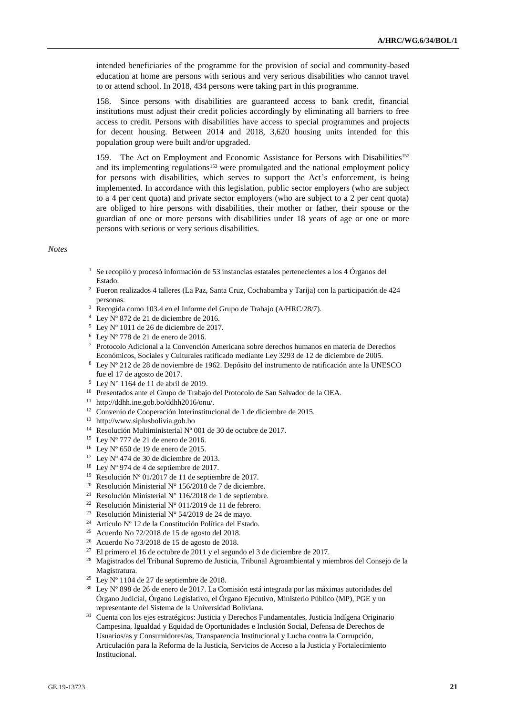intended beneficiaries of the programme for the provision of social and community-based education at home are persons with serious and very serious disabilities who cannot travel to or attend school. In 2018, 434 persons were taking part in this programme.

158. Since persons with disabilities are guaranteed access to bank credit, financial institutions must adjust their credit policies accordingly by eliminating all barriers to free access to credit. Persons with disabilities have access to special programmes and projects for decent housing. Between 2014 and 2018, 3,620 housing units intended for this population group were built and/or upgraded.

159. The Act on Employment and Economic Assistance for Persons with Disabilities<sup>152</sup> and its implementing regulations<sup>153</sup> were promulgated and the national employment policy for persons with disabilities, which serves to support the Act's enforcement, is being implemented. In accordance with this legislation, public sector employers (who are subject to a 4 per cent quota) and private sector employers (who are subject to a 2 per cent quota) are obliged to hire persons with disabilities, their mother or father, their spouse or the guardian of one or more persons with disabilities under 18 years of age or one or more persons with serious or very serious disabilities.

#### *Notes*

- $1$  Se recopiló y procesó información de 53 instancias estatales pertenecientes a los 4 Órganos del Estado.
- <sup>2</sup> Fueron realizados 4 talleres (La Paz, Santa Cruz, Cochabamba y Tarija) con la participación de 424 personas.
- <sup>3</sup> Recogida como 103.4 en el Informe del Grupo de Trabajo (A/HRC/28/7).
- <sup>4</sup> Ley Nº 872 de 21 de diciembre de 2016.
- <sup>5</sup> Ley Nº 1011 de 26 de diciembre de 2017.
- <sup>6</sup> Ley Nº 778 de 21 de enero de 2016.
- <sup>7</sup> Protocolo Adicional a la Convención Americana sobre derechos humanos en materia de Derechos Económicos, Sociales y Culturales ratificado mediante Ley 3293 de 12 de diciembre de 2005.
- <sup>8</sup> Ley Nº 212 de 28 de noviembre de 1962. Depósito del instrumento de ratificación ante la UNESCO fue el 17 de agosto de 2017.
- <sup>9</sup> Ley N° 1164 de 11 de abril de 2019.
- <sup>10</sup> Presentados ante el Grupo de Trabajo del Protocolo de San Salvador de la OEA.
- <sup>11</sup> http://ddhh.ine.gob.bo/ddhh2016/onu/.
- <sup>12</sup> Convenio de Cooperación Interinstitucional de 1 de diciembre de 2015.
- <sup>13</sup> http://www.siplusbolivia.gob.bo
- <sup>14</sup> Resolución Multiministerial Nº 001 de 30 de octubre de 2017.
- <sup>15</sup> Ley Nº 777 de 21 de enero de 2016.
- $16$  Ley N° 650 de 19 de enero de 2015.
- $17$  Ley N° 474 de 30 de diciembre de 2013.
- <sup>18</sup> Ley N° 974 de 4 de septiembre de 2017.
- <sup>19</sup> Resolución Nº 01/2017 de 11 de septiembre de 2017.
- <sup>20</sup> Resolución Ministerial N° 156/2018 de 7 de diciembre.
- <sup>21</sup> Resolución Ministerial N° 116/2018 de 1 de septiembre.
- <sup>22</sup> Resolución Ministerial N° 011/2019 de 11 de febrero.
- <sup>23</sup> Resolución Ministerial N° 54/2019 de 24 de mayo.
- <sup>24</sup> Artículo Nº 12 de la Constitución Política del Estado.
- <sup>25</sup> Acuerdo No 72/2018 de 15 de agosto del 2018.
- <sup>26</sup> Acuerdo No 73/2018 de 15 de agosto de 2018.
- $27$  El primero el 16 de octubre de 2011 y el segundo el 3 de diciembre de 2017.
- <sup>28</sup> Magistrados del Tribunal Supremo de Justicia, Tribunal Agroambiental y miembros del Consejo de la Magistratura.
- $29$  Ley N° 1104 de 27 de septiembre de 2018.
- <sup>30</sup> Ley Nº 898 de 26 de enero de 2017. La Comisión está integrada por las máximas autoridades del Órgano Judicial, Órgano Legislativo, el Órgano Ejecutivo, Ministerio Público (MP), PGE y un representante del Sistema de la Universidad Boliviana.
- <sup>31</sup> Cuenta con los ejes estratégicos: Justicia y Derechos Fundamentales, Justicia Indígena Originario Campesina, Igualdad y Equidad de Oportunidades e Inclusión Social, Defensa de Derechos de Usuarios/as y Consumidores/as, Transparencia Institucional y Lucha contra la Corrupción, Articulación para la Reforma de la Justicia, Servicios de Acceso a la Justicia y Fortalecimiento Institucional.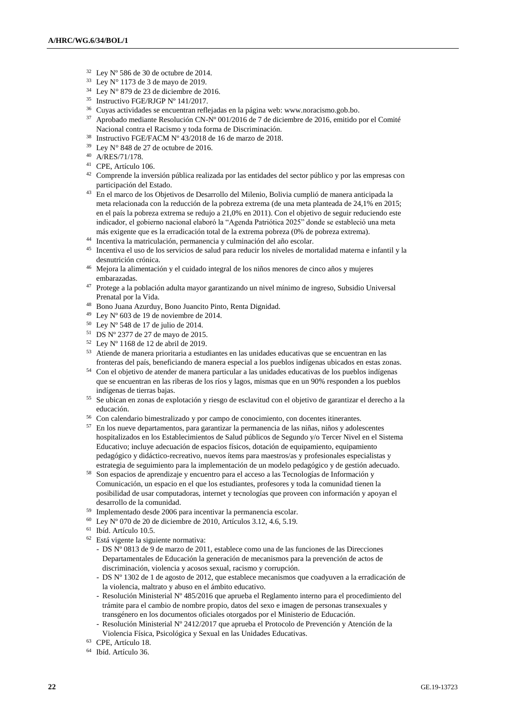- <sup>32</sup> Ley Nº 586 de 30 de octubre de 2014.
- $33$  Ley N° 1173 de 3 de mayo de 2019.
- $34$  Ley N° 879 de 23 de diciembre de 2016.
- <sup>35</sup> Instructivo FGE/RJGP Nº 141/2017.
- <sup>36</sup> Cuyas actividades se encuentran reflejadas en la página web: www.noracismo.gob.bo.
- <sup>37</sup> Aprobado mediante Resolución CN-Nº 001/2016 de 7 de diciembre de 2016, emitido por el Comité Nacional contra el Racismo y toda forma de Discriminación.
- <sup>38</sup> Instructivo FGE/FACM Nº 43/2018 de 16 de marzo de 2018.
- <sup>39</sup> Ley N° 848 de 27 de octubre de 2016.
- <sup>40</sup> A/RES/71/178.
- <sup>41</sup> CPE, Artículo 106.
- <sup>42</sup> Comprende la inversión pública realizada por las entidades del sector público y por las empresas con participación del Estado.
- <sup>43</sup> En el marco de los Objetivos de Desarrollo del Milenio, Bolivia cumplió de manera anticipada la meta relacionada con la reducción de la pobreza extrema (de una meta planteada de 24,1% en 2015; en el país la pobreza extrema se redujo a 21,0% en 2011). Con el objetivo de seguir reduciendo este indicador, el gobierno nacional elaboró la "Agenda Patriótica 2025" donde se estableció una meta más exigente que es la erradicación total de la extrema pobreza (0% de pobreza extrema).
- <sup>44</sup> Incentiva la matriculación, permanencia y culminación del año escolar.
- <sup>45</sup> Incentiva el uso de los servicios de salud para reducir los niveles de mortalidad materna e infantil y la desnutrición crónica.
- <sup>46</sup> Mejora la alimentación y el cuidado integral de los niños menores de cinco años y mujeres embarazadas.
- <sup>47</sup> Protege a la población adulta mayor garantizando un nivel mínimo de ingreso, Subsidio Universal Prenatal por la Vida.
- <sup>48</sup> Bono Juana Azurduy, Bono Juancito Pinto, Renta Dignidad.
- $^{49}$  Ley N° 603 de 19 de noviembre de 2014.
- $50$  Ley N° 548 de 17 de julio de 2014.
- <sup>51</sup> DS Nº 2377 de 27 de mayo de 2015.
- <sup>52</sup> Ley Nº 1168 de 12 de abril de 2019.
- <sup>53</sup> Atiende de manera prioritaria a estudiantes en las unidades educativas que se encuentran en las fronteras del país, beneficiando de manera especial a los pueblos indígenas ubicados en estas zonas.
- <sup>54</sup> Con el objetivo de atender de manera particular a las unidades educativas de los pueblos indígenas que se encuentran en las riberas de los ríos y lagos, mismas que en un 90% responden a los pueblos indígenas de tierras bajas.
- <sup>55</sup> Se ubican en zonas de explotación y riesgo de esclavitud con el objetivo de garantizar el derecho a la educación.
- <sup>56</sup> Con calendario bimestralizado y por campo de conocimiento, con docentes itinerantes.
- <sup>57</sup> En los nueve departamentos, para garantizar la permanencia de las niñas, niños y adolescentes hospitalizados en los Establecimientos de Salud públicos de Segundo y/o Tercer Nivel en el Sistema Educativo; incluye adecuación de espacios físicos, dotación de equipamiento, equipamiento pedagógico y didáctico-recreativo, nuevos ítems para maestros/as y profesionales especialistas y estrategia de seguimiento para la implementación de un modelo pedagógico y de gestión adecuado.
- <sup>58</sup> Son espacios de aprendizaje y encuentro para el acceso a las Tecnologías de Información y Comunicación, un espacio en el que los estudiantes, profesores y toda la comunidad tienen la posibilidad de usar computadoras, internet y tecnologías que proveen con información y apoyan el desarrollo de la comunidad.
- <sup>59</sup> Implementado desde 2006 para incentivar la permanencia escolar.
- <sup>60</sup> Ley Nº 070 de 20 de diciembre de 2010, Artículos 3.12, 4.6, 5.19.
- <sup>61</sup> Ibíd. Artículo 10.5.
- <sup>62</sup> Está vigente la siguiente normativa:
	- DS Nº 0813 de 9 de marzo de 2011, establece como una de las funciones de las Direcciones Departamentales de Educación la generación de mecanismos para la prevención de actos de discriminación, violencia y acosos sexual, racismo y corrupción.
	- DS Nº 1302 de 1 de agosto de 2012, que establece mecanismos que coadyuven a la erradicación de la violencia, maltrato y abuso en el ámbito educativo.
	- Resolución Ministerial Nº 485/2016 que aprueba el Reglamento interno para el procedimiento del trámite para el cambio de nombre propio, datos del sexo e imagen de personas transexuales y transgénero en los documentos oficiales otorgados por el Ministerio de Educación.
	- Resolución Ministerial Nº 2412/2017 que aprueba el Protocolo de Prevención y Atención de la Violencia Física, Psicológica y Sexual en las Unidades Educativas.
- <sup>63</sup> CPE, Artículo 18.
- <sup>64</sup> Ibíd. Artículo 36.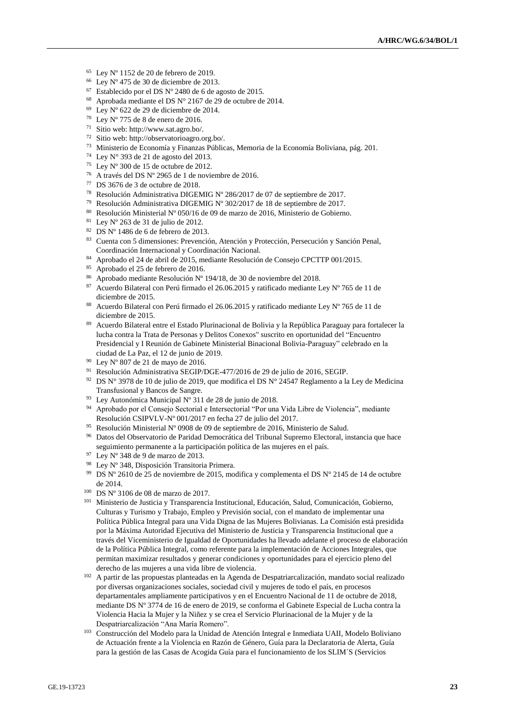- $65$  Ley N° 1152 de 20 de febrero de 2019.
- <sup>66</sup> Ley Nº 475 de 30 de diciembre de 2013.
- $67$  Establecido por el DS Nº 2480 de 6 de agosto de 2015.
- <sup>68</sup> Aprobada mediante el DS N° 2167 de 29 de octubre de 2014.
- <sup>69</sup> Ley Nº 622 de 29 de diciembre de 2014.
- <sup>70</sup> Ley Nº 775 de 8 de enero de 2016.
- <sup>71</sup> Sitio web: http://www.sat.agro.bo/.
- <sup>72</sup> Sitio web: http://observatorioagro.org.bo/.
- <sup>73</sup> Ministerio de Economía y Finanzas Públicas, Memoria de la Economía Boliviana, pág. 201.
- <sup>74</sup> Ley N° 393 de 21 de agosto del 2013.
- <sup>75</sup> Ley N° 300 de 15 de octubre de 2012.
- <sup>76</sup> A través del DS Nº 2965 de 1 de noviembre de 2016.
- <sup>77</sup> DS 3676 de 3 de octubre de 2018.
- <sup>78</sup> Resolución Administrativa DIGEMIG Nº 286/2017 de 07 de septiembre de 2017.
- <sup>79</sup> Resolución Administrativa DIGEMIG Nº 302/2017 de 18 de septiembre de 2017.
- <sup>80</sup> Resolución Ministerial Nº 050/16 de 09 de marzo de 2016, Ministerio de Gobierno.
- <sup>81</sup> Lev N° 263 de 31 de julio de 2012.
- $82$  DS N° 1486 de 6 de febrero de 2013.
- <sup>83</sup> Cuenta con 5 dimensiones: Prevención, Atención y Protección, Persecución y Sanción Penal, Coordinación Internacional y Coordinación Nacional.
- <sup>84</sup> Aprobado el 24 de abril de 2015, mediante Resolución de Consejo CPCTTP 001/2015.
- <sup>85</sup> Aprobado el 25 de febrero de 2016.
- <sup>86</sup> Aprobado mediante Resolución Nº 194/18, de 30 de noviembre del 2018.
- 87 Acuerdo Bilateral con Perú firmado el 26.06.2015 y ratificado mediante Ley Nº 765 de 11 de diciembre de 2015.
- 88 Acuerdo Bilateral con Perú firmado el 26.06.2015 y ratificado mediante Ley Nº 765 de 11 de diciembre de 2015.
- <sup>89</sup> Acuerdo Bilateral entre el Estado Plurinacional de Bolivia y la República Paraguay para fortalecer la lucha contra la Trata de Personas y Delitos Conexos" suscrito en oportunidad del "Encuentro Presidencial y I Reunión de Gabinete Ministerial Binacional Bolivia-Paraguay" celebrado en la ciudad de La Paz, el 12 de junio de 2019.
- <sup>90</sup> Ley Nº 807 de 21 de mayo de 2016.
- <sup>91</sup> Resolución Administrativa SEGIP/DGE-477/2016 de 29 de julio de 2016, SEGIP.
- 92 DS N° 3978 de 10 de julio de 2019, que modifica el DS N° 24547 Reglamento a la Ley de Medicina Transfusional y Bancos de Sangre.
- <sup>93</sup> Ley Autonómica Municipal Nº 311 de 28 de junio de 2018.
- <sup>94</sup> Aprobado por el Consejo Sectorial e Intersectorial "Por una Vida Libre de Violencia", mediante Resolución CSIPVLV-Nº 001/2017 en fecha 27 de julio del 2017.
- 95 Resolución Ministerial Nº 0908 de 09 de septiembre de 2016, Ministerio de Salud.
- <sup>96</sup> Datos del Observatorio de Paridad Democrática del Tribunal Supremo Electoral, instancia que hace seguimiento permanente a la participación política de las mujeres en el país.
- $97$  Ley N° 348 de 9 de marzo de 2013.
- <sup>98</sup> Ley Nº 348, Disposición Transitoria Primera.
- <sup>99</sup> DS N° 2610 de 25 de noviembre de 2015, modifica y complementa el DS N° 2145 de 14 de octubre de 2014.
- <sup>100</sup> DS Nº 3106 de 08 de marzo de 2017.
- <sup>101</sup> Ministerio de Justicia y Transparencia Institucional, Educación, Salud, Comunicación, Gobierno, Culturas y Turismo y Trabajo, Empleo y Previsión social, con el mandato de implementar una Política Pública Integral para una Vida Digna de las Mujeres Bolivianas. La Comisión está presidida por la Máxima Autoridad Ejecutiva del Ministerio de Justicia y Transparencia Institucional que a través del Viceministerio de Igualdad de Oportunidades ha llevado adelante el proceso de elaboración de la Política Pública Integral, como referente para la implementación de Acciones Integrales, que permitan maximizar resultados y generar condiciones y oportunidades para el ejercicio pleno del derecho de las mujeres a una vida libre de violencia.
- <sup>102</sup> A partir de las propuestas planteadas en la Agenda de Despatriarcalización, mandato social realizado por diversas organizaciones sociales, sociedad civil y mujeres de todo el país, en procesos departamentales ampliamente participativos y en el Encuentro Nacional de 11 de octubre de 2018, mediante DS Nº 3774 de 16 de enero de 2019, se conforma el Gabinete Especial de Lucha contra la Violencia Hacia la Mujer y la Niñez y se crea el Servicio Plurinacional de la Mujer y de la Despatriarcalización "Ana María Romero".
- <sup>103</sup> Construcción del Modelo para la Unidad de Atención Integral e Inmediata UAII, Modelo Boliviano de Actuación frente a la Violencia en Razón de Género, Guía para la Declaratoria de Alerta, Guía para la gestión de las Casas de Acogida Guía para el funcionamiento de los SLIM´S (Servicios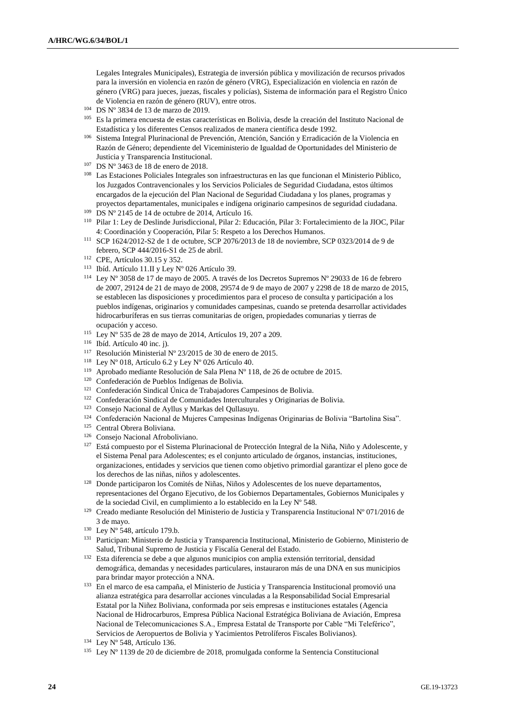Legales Integrales Municipales), Estrategia de inversión pública y movilización de recursos privados para la inversión en violencia en razón de género (VRG), Especialización en violencia en razón de género (VRG) para jueces, juezas, fiscales y policías), Sistema de información para el Registro Único de Violencia en razón de género (RUV), entre otros.

- <sup>104</sup> DS Nº 3834 de 13 de marzo de 2019.
- <sup>105</sup> Es la primera encuesta de estas características en Bolivia, desde la creación del Instituto Nacional de Estadística y los diferentes Censos realizados de manera científica desde 1992.
- <sup>106</sup> Sistema Integral Plurinacional de Prevención, Atención, Sanción y Erradicación de la Violencia en Razón de Género; dependiente del Viceministerio de Igualdad de Oportunidades del Ministerio de Justicia y Transparencia Institucional.
- <sup>107</sup> DS Nº 3463 de 18 de enero de 2018.
- <sup>108</sup> Las Estaciones Policiales Integrales son infraestructuras en las que funcionan el Ministerio Público, los Juzgados Contravencionales y los Servicios Policiales de Seguridad Ciudadana, estos últimos encargados de la ejecución del Plan Nacional de Seguridad Ciudadana y los planes, programas y proyectos departamentales, municipales e indígena originario campesinos de seguridad ciudadana.
- <sup>109</sup> DS Nº 2145 de 14 de octubre de 2014, Artículo 16.
- <sup>110</sup> Pilar 1: Ley de Deslinde Jurisdiccional, Pilar 2: Educación, Pilar 3: Fortalecimiento de la JIOC, Pilar 4: Coordinación y Cooperación, Pilar 5: Respeto a los Derechos Humanos.
- <sup>111</sup> SCP 1624/2012-S2 de 1 de octubre, SCP 2076/2013 de 18 de noviembre, SCP 0323/2014 de 9 de febrero, SCP 444/2016-S1 de 25 de abril.
- <sup>112</sup> CPE, Artículos 30.15 y 352.
- <sup>113</sup> Ibíd. Artículo 11.II y Ley Nº 026 Artículo 39.
- <sup>114</sup> Ley Nº 3058 de 17 de mayo de 2005. A través de los Decretos Supremos Nº 29033 de 16 de febrero de 2007, 29124 de 21 de mayo de 2008, 29574 de 9 de mayo de 2007 y 2298 de 18 de marzo de 2015, se establecen las disposiciones y procedimientos para el proceso de consulta y participación a los pueblos indígenas, originarios y comunidades campesinas, cuando se pretenda desarrollar actividades hidrocarburíferas en sus tierras comunitarias de origen, propiedades comunarias y tierras de ocupación y acceso.
- <sup>115</sup> Ley Nº 535 de 28 de mayo de 2014, Artículos 19, 207 a 209.
- <sup>116</sup> Ibíd. Artículo 40 inc. j).
- <sup>117</sup> Resolución Ministerial Nº 23/2015 de 30 de enero de 2015.
- <sup>118</sup> Ley N° 018, Artículo 6.2 y Ley N° 026 Artículo 40.
- <sup>119</sup> Aprobado mediante Resolución de Sala Plena Nº 118, de 26 de octubre de 2015.
- <sup>120</sup> Confederación de Pueblos Indígenas de Bolivia.
- <sup>121</sup> Confederación Sindical Única de Trabajadores Campesinos de Bolivia.
- <sup>122</sup> Confederación Sindical de Comunidades Interculturales y Originarias de Bolivia.
- <sup>123</sup> Consejo Nacional de Ayllus y Markas del Qullasuyu.
- <sup>124</sup> Confederación Nacional de Mujeres Campesinas Indígenas Originarias de Bolivia "Bartolina Sisa".
- <sup>125</sup> Central Obrera Boliviana.
- <sup>126</sup> Consejo Nacional Afroboliviano.
- <sup>127</sup> Está compuesto por el Sistema Plurinacional de Protección Integral de la Niña, Niño y Adolescente, y el Sistema Penal para Adolescentes; es el conjunto articulado de órganos, instancias, instituciones, organizaciones, entidades y servicios que tienen como objetivo primordial garantizar el pleno goce de los derechos de las niñas, niños y adolescentes.
- <sup>128</sup> Donde participaron los Comités de Niñas, Niños y Adolescentes de los nueve departamentos, representaciones del Órgano Ejecutivo, de los Gobiernos Departamentales, Gobiernos Municipales y de la sociedad Civil, en cumplimiento a lo establecido en la Ley Nº 548.
- <sup>129</sup> Creado mediante Resolución del Ministerio de Justicia y Transparencia Institucional Nº 071/2016 de 3 de mayo.
- <sup>130</sup> Ley Nº 548, artículo 179.b.
- <sup>131</sup> Participan: Ministerio de Justicia y Transparencia Institucional, Ministerio de Gobierno, Ministerio de Salud, Tribunal Supremo de Justicia y Fiscalía General del Estado.
- <sup>132</sup> Esta diferencia se debe a que algunos municipios con amplia extensión territorial, densidad demográfica, demandas y necesidades particulares, instauraron más de una DNA en sus municipios para brindar mayor protección a NNA.
- <sup>133</sup> En el marco de esa campaña, el Ministerio de Justicia y Transparencia Institucional promovió una alianza estratégica para desarrollar acciones vinculadas a la Responsabilidad Social Empresarial Estatal por la Niñez Boliviana, conformada por seis empresas e instituciones estatales (Agencia Nacional de Hidrocarburos, Empresa Pública Nacional Estratégica Boliviana de Aviación, Empresa Nacional de Telecomunicaciones S.A., Empresa Estatal de Transporte por Cable "Mi Teleférico", Servicios de Aeropuertos de Bolivia y Yacimientos Petrolíferos Fiscales Bolivianos).
- <sup>134</sup> Ley Nº 548, Artículo 136.
- $135$  Ley N° 1139 de 20 de diciembre de 2018, promulgada conforme la Sentencia Constitucional